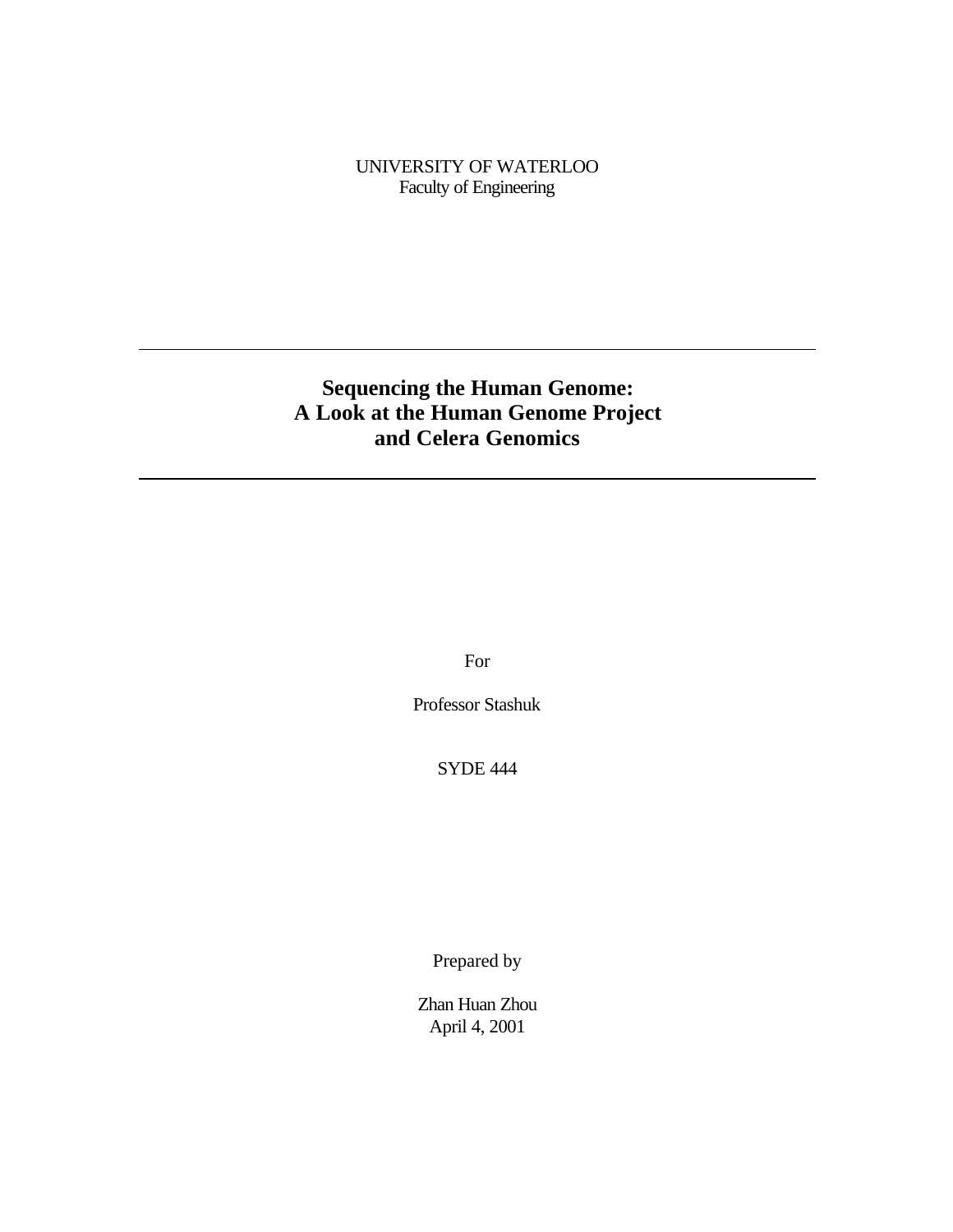UNIVERSITY OF WATERLOO Faculty of Engineering

# **Sequencing the Human Genome: A Look at the Human Genome Project and Celera Genomics**

For

Professor Stashuk

SYDE 444

Prepared by

Zhan Huan Zhou April 4, 2001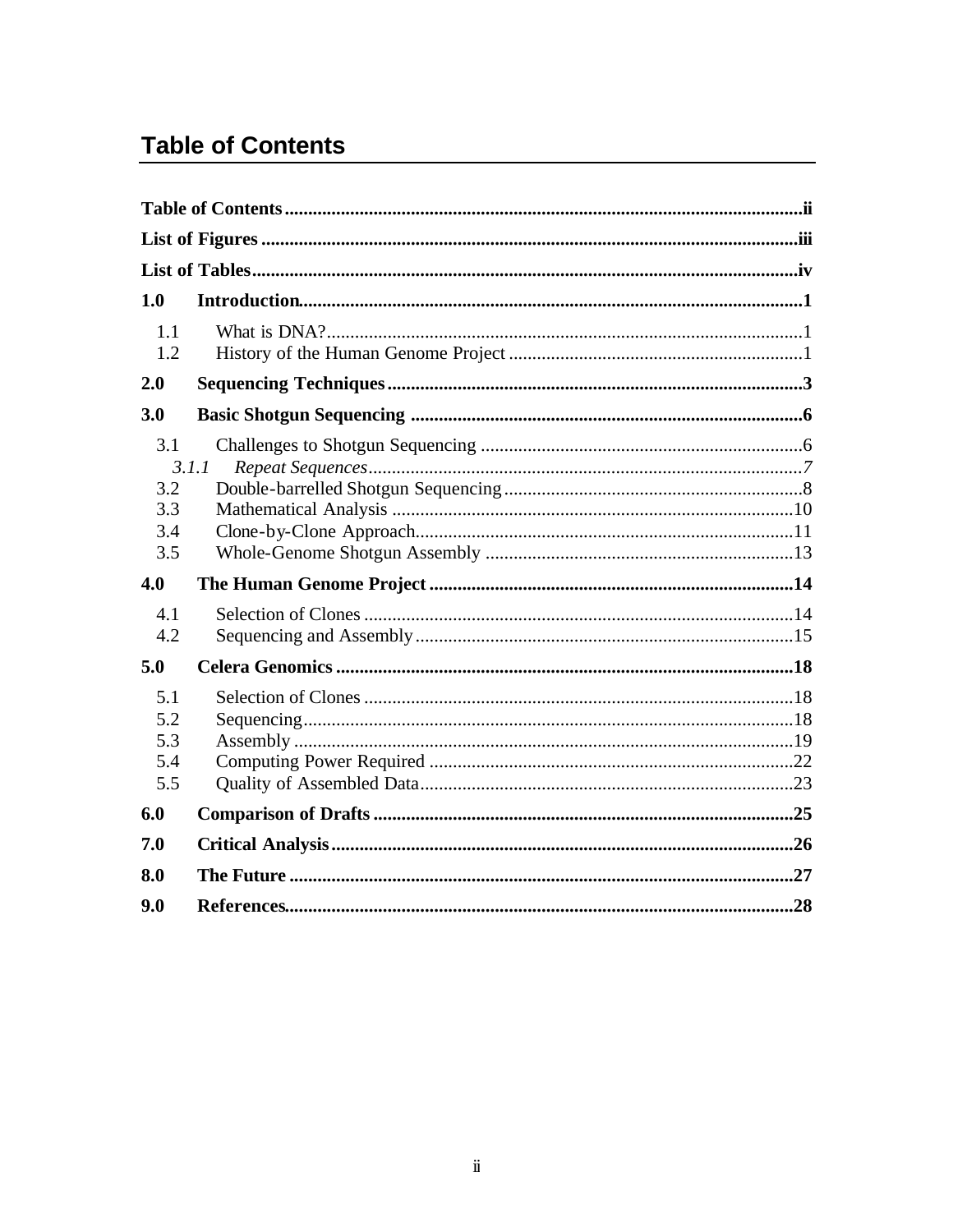# **Table of Contents**

| 1.0                             |       |  |
|---------------------------------|-------|--|
| 1.1<br>1.2                      |       |  |
| 2.0                             |       |  |
| 3.0                             |       |  |
| 3.1<br>3.2<br>3.3<br>3.4<br>3.5 | 3.1.1 |  |
| 4.0                             |       |  |
| 4.1<br>4.2                      |       |  |
| 5.0                             |       |  |
| 5.1<br>5.2<br>5.3<br>5.4<br>5.5 |       |  |
| 6.0                             |       |  |
| 7.0                             |       |  |
| 8.0                             |       |  |
| 9.0                             |       |  |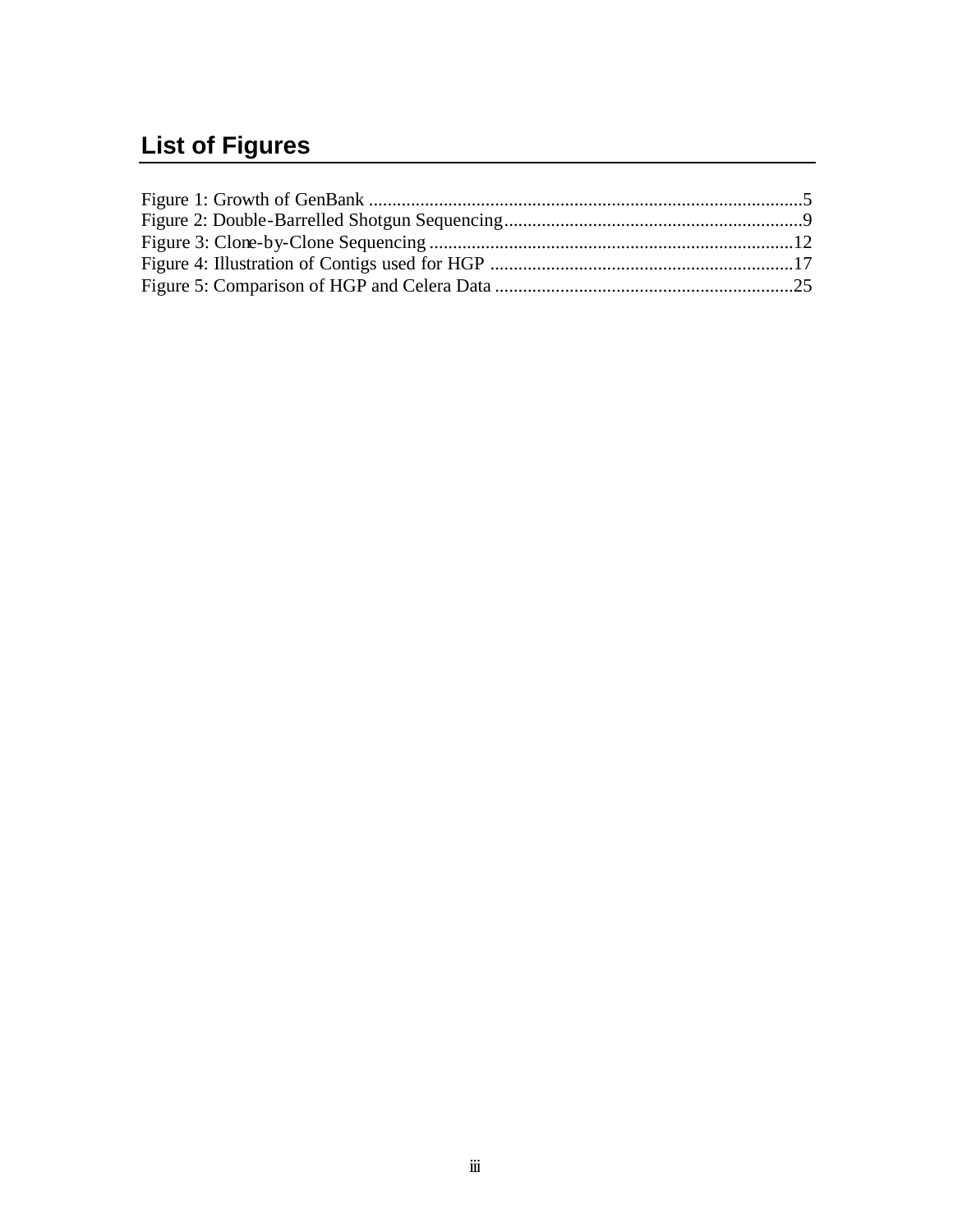# **List of Figures**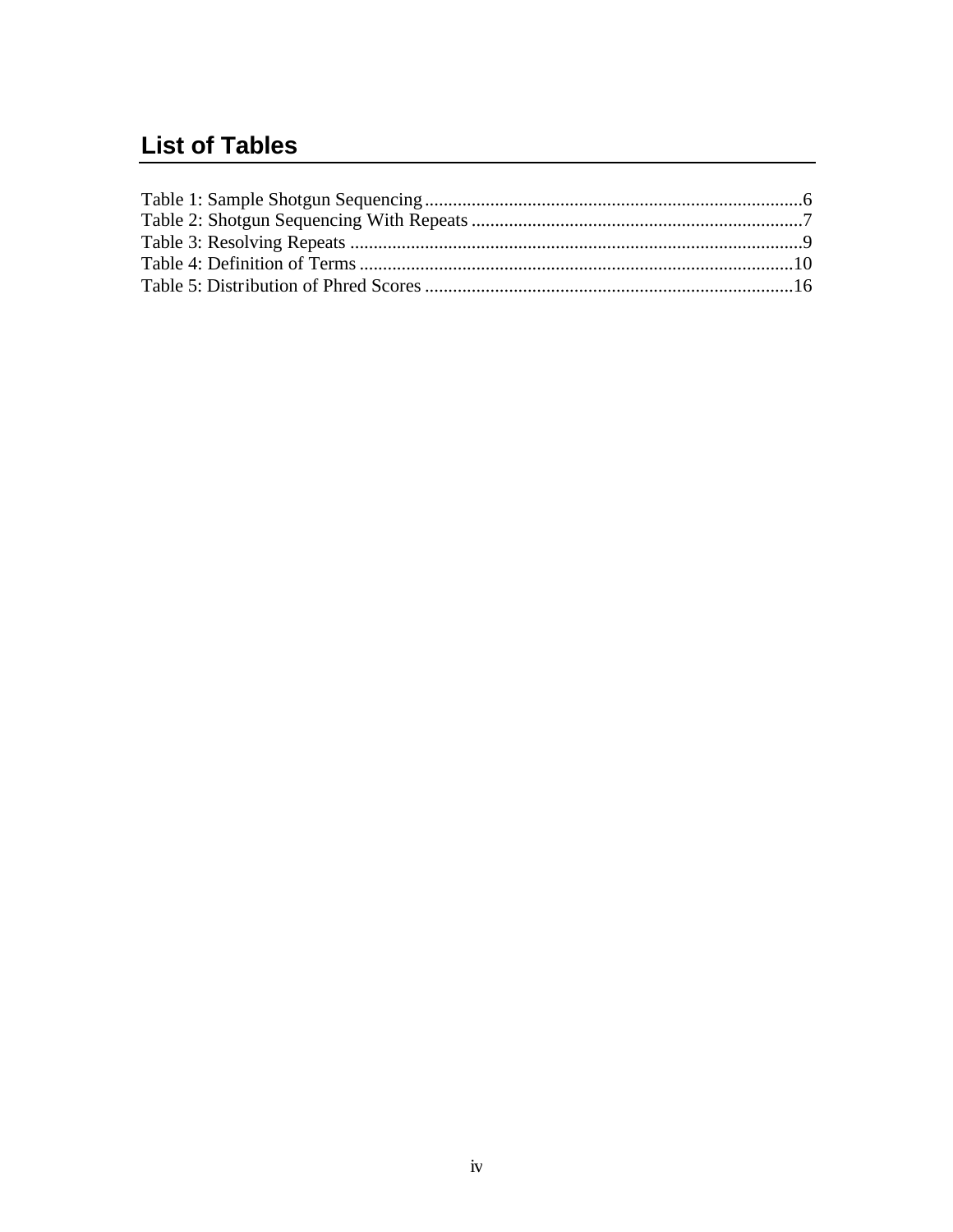# **List of Tables**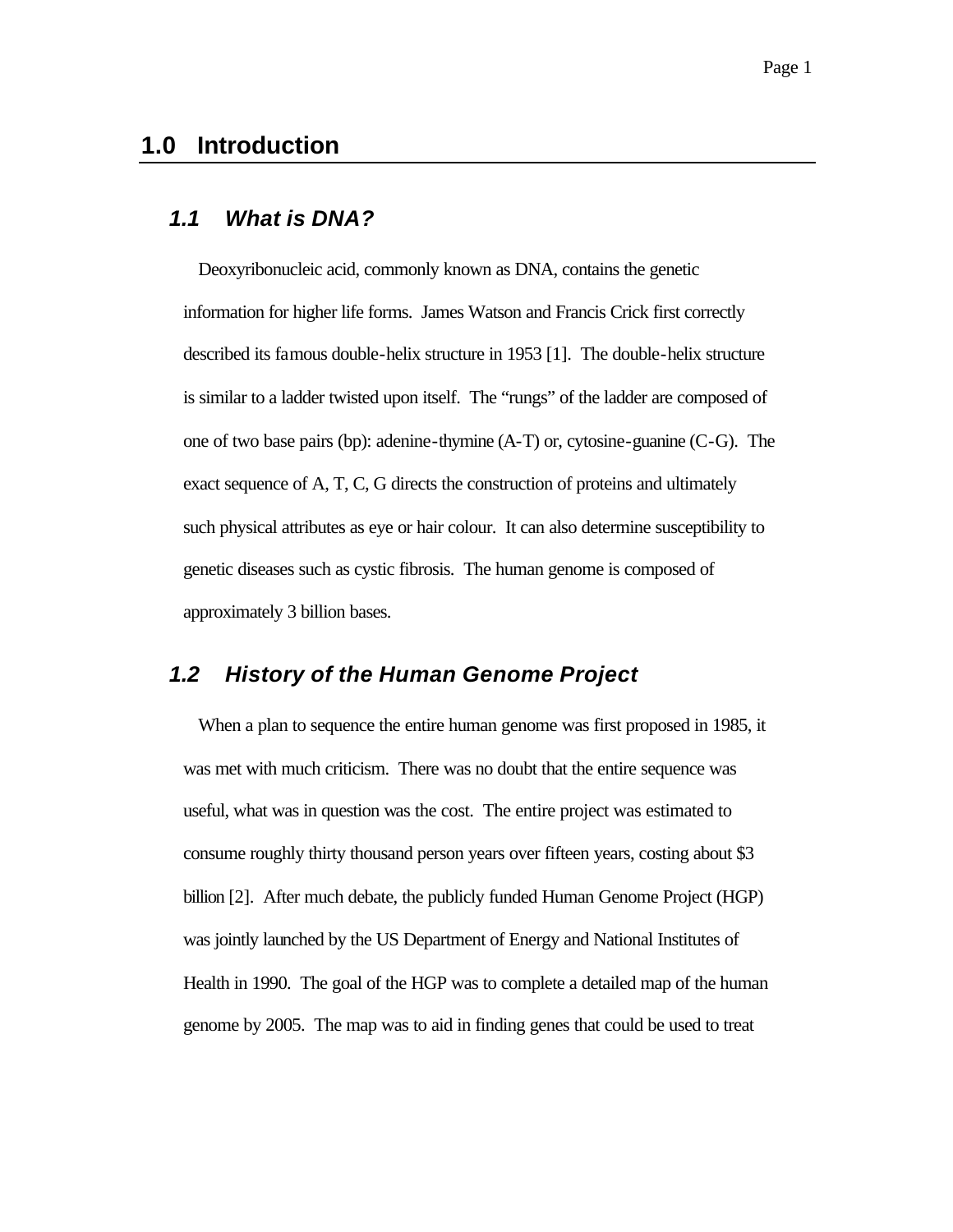# **1.0 Introduction**

#### *1.1 What is DNA?*

Deoxyribonucleic acid, commonly known as DNA, contains the genetic information for higher life forms. James Watson and Francis Crick first correctly described its famous double-helix structure in 1953 [1]. The double-helix structure is similar to a ladder twisted upon itself. The "rungs" of the ladder are composed of one of two base pairs (bp): adenine-thymine (A-T) or, cytosine-guanine (C-G). The exact sequence of A, T, C, G directs the construction of proteins and ultimately such physical attributes as eye or hair colour. It can also determine susceptibility to genetic diseases such as cystic fibrosis. The human genome is composed of approximately 3 billion bases.

#### *1.2 History of the Human Genome Project*

When a plan to sequence the entire human genome was first proposed in 1985, it was met with much criticism. There was no doubt that the entire sequence was useful, what was in question was the cost. The entire project was estimated to consume roughly thirty thousand person years over fifteen years, costing about \$3 billion [2]. After much debate, the publicly funded Human Genome Project (HGP) was jointly launched by the US Department of Energy and National Institutes of Health in 1990. The goal of the HGP was to complete a detailed map of the human genome by 2005. The map was to aid in finding genes that could be used to treat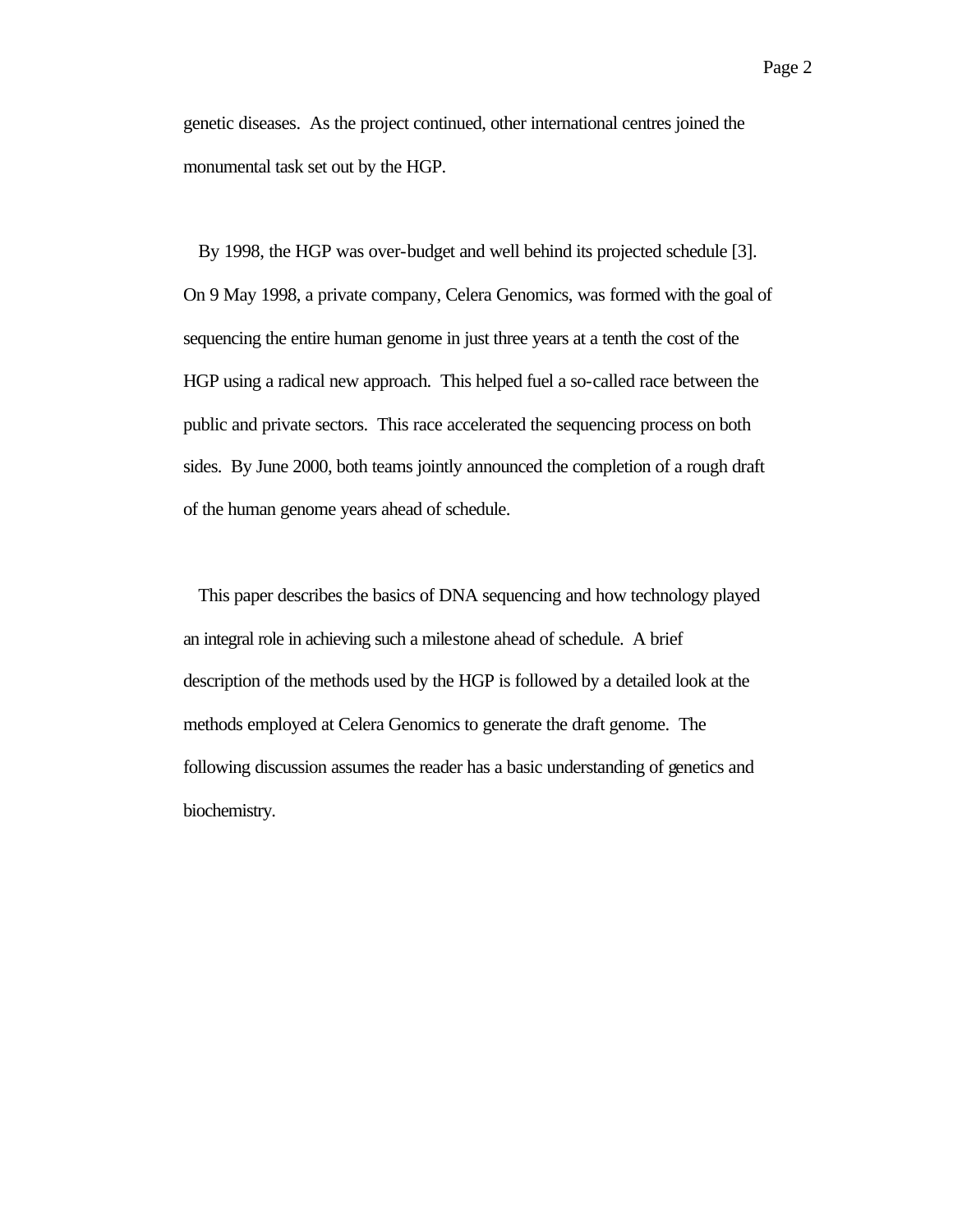genetic diseases. As the project continued, other international centres joined the monumental task set out by the HGP.

By 1998, the HGP was over-budget and well behind its projected schedule [3]. On 9 May 1998, a private company, Celera Genomics, was formed with the goal of sequencing the entire human genome in just three years at a tenth the cost of the HGP using a radical new approach. This helped fuel a so-called race between the public and private sectors. This race accelerated the sequencing process on both sides. By June 2000, both teams jointly announced the completion of a rough draft of the human genome years ahead of schedule.

This paper describes the basics of DNA sequencing and how technology played an integral role in achieving such a milestone ahead of schedule. A brief description of the methods used by the HGP is followed by a detailed look at the methods employed at Celera Genomics to generate the draft genome. The following discussion assumes the reader has a basic understanding of genetics and biochemistry.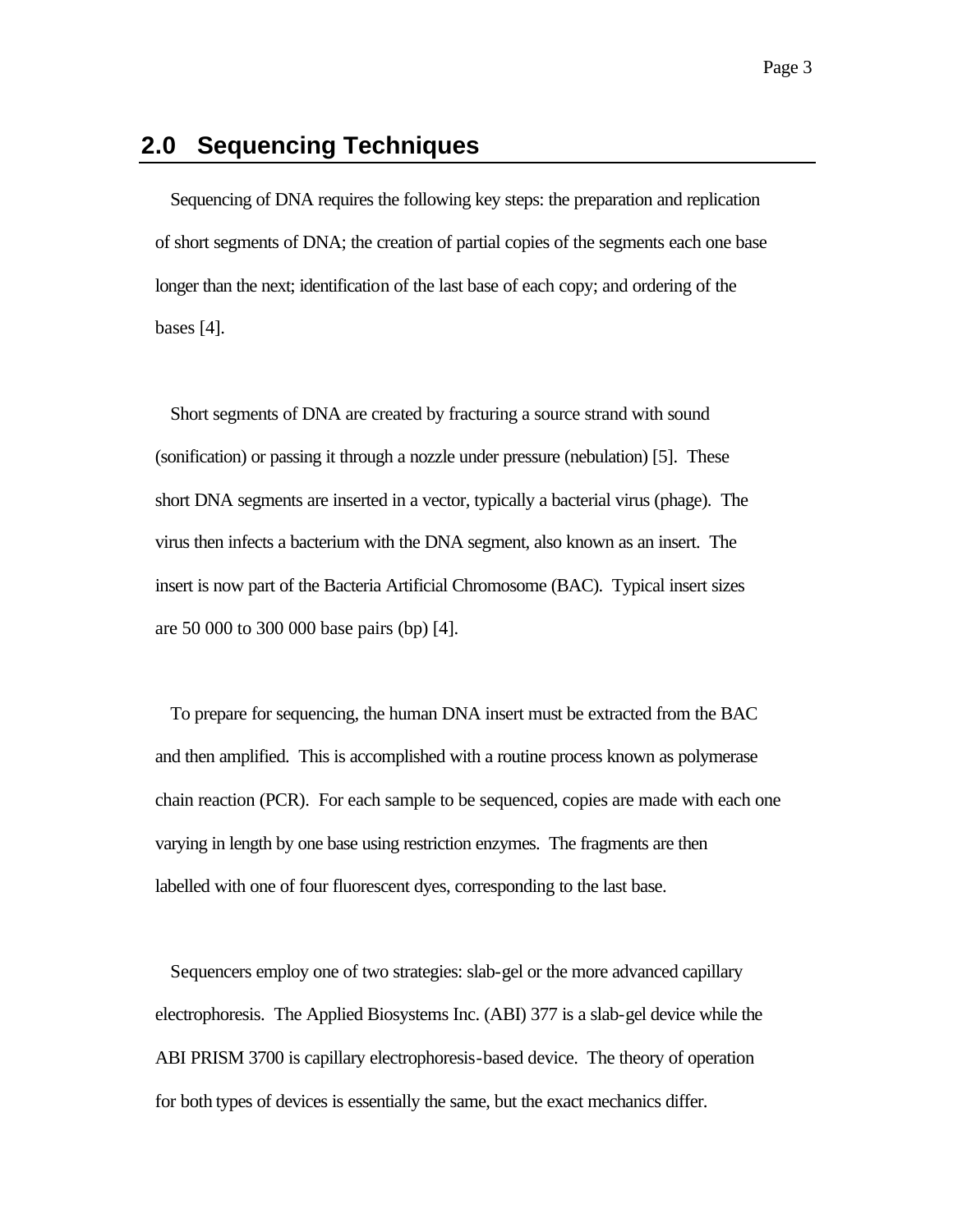# **2.0 Sequencing Techniques**

Sequencing of DNA requires the following key steps: the preparation and replication of short segments of DNA; the creation of partial copies of the segments each one base longer than the next; identification of the last base of each copy; and ordering of the bases [4].

Short segments of DNA are created by fracturing a source strand with sound (sonification) or passing it through a nozzle under pressure (nebulation) [5]. These short DNA segments are inserted in a vector, typically a bacterial virus (phage). The virus then infects a bacterium with the DNA segment, also known as an insert. The insert is now part of the Bacteria Artificial Chromosome (BAC). Typical insert sizes are 50 000 to 300 000 base pairs (bp) [4].

To prepare for sequencing, the human DNA insert must be extracted from the BAC and then amplified. This is accomplished with a routine process known as polymerase chain reaction (PCR). For each sample to be sequenced, copies are made with each one varying in length by one base using restriction enzymes. The fragments are then labelled with one of four fluorescent dyes, corresponding to the last base.

Sequencers employ one of two strategies: slab-gel or the more advanced capillary electrophoresis. The Applied Biosystems Inc. (ABI) 377 is a slab-gel device while the ABI PRISM 3700 is capillary electrophoresis-based device. The theory of operation for both types of devices is essentially the same, but the exact mechanics differ.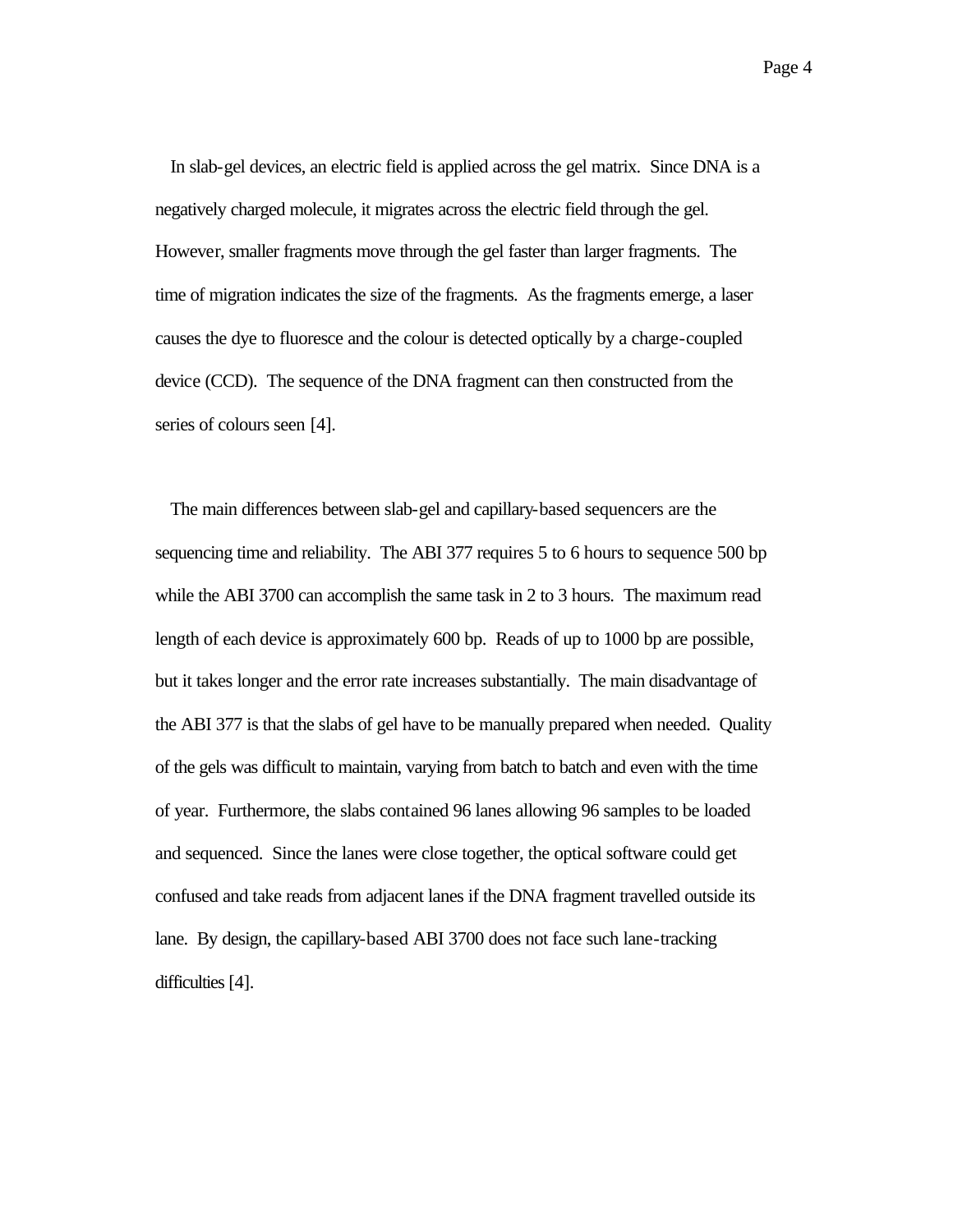In slab-gel devices, an electric field is applied across the gel matrix. Since DNA is a negatively charged molecule, it migrates across the electric field through the gel. However, smaller fragments move through the gel faster than larger fragments. The time of migration indicates the size of the fragments. As the fragments emerge, a laser causes the dye to fluoresce and the colour is detected optically by a charge-coupled device (CCD). The sequence of the DNA fragment can then constructed from the series of colours seen [4].

The main differences between slab-gel and capillary-based sequencers are the sequencing time and reliability. The ABI 377 requires 5 to 6 hours to sequence 500 bp while the ABI 3700 can accomplish the same task in 2 to 3 hours. The maximum read length of each device is approximately 600 bp. Reads of up to 1000 bp are possible, but it takes longer and the error rate increases substantially. The main disadvantage of the ABI 377 is that the slabs of gel have to be manually prepared when needed. Quality of the gels was difficult to maintain, varying from batch to batch and even with the time of year. Furthermore, the slabs contained 96 lanes allowing 96 samples to be loaded and sequenced. Since the lanes were close together, the optical software could get confused and take reads from adjacent lanes if the DNA fragment travelled outside its lane. By design, the capillary-based ABI 3700 does not face such lane-tracking difficulties [4].

Page 4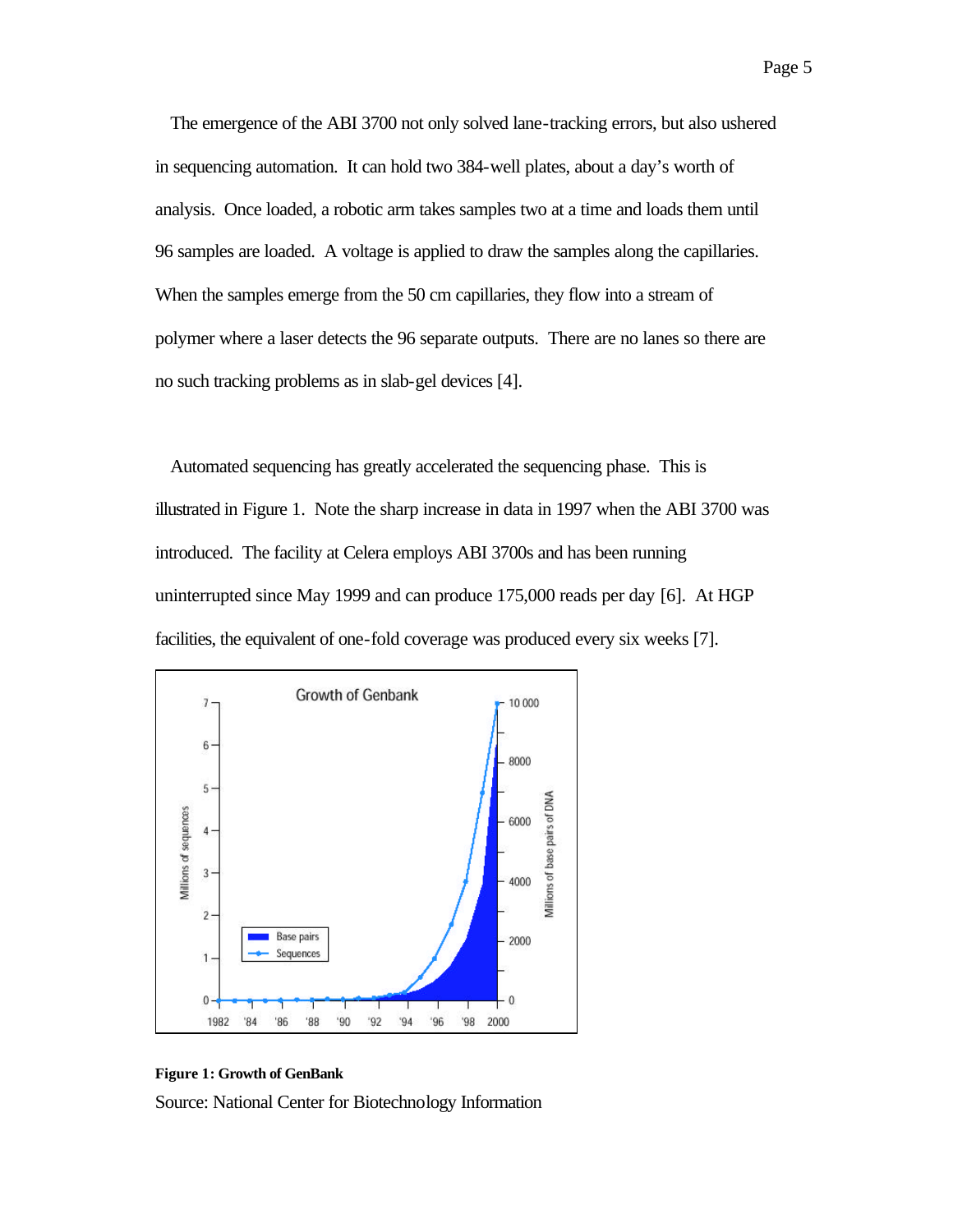The emergence of the ABI 3700 not only solved lane-tracking errors, but also ushered in sequencing automation. It can hold two 384-well plates, about a day's worth of analysis. Once loaded, a robotic arm takes samples two at a time and loads them until 96 samples are loaded. A voltage is applied to draw the samples along the capillaries. When the samples emerge from the 50 cm capillaries, they flow into a stream of polymer where a laser detects the 96 separate outputs. There are no lanes so there are no such tracking problems as in slab-gel devices [4].

Automated sequencing has greatly accelerated the sequencing phase. This is illustrated in Figure 1. Note the sharp increase in data in 1997 when the ABI 3700 was introduced. The facility at Celera employs ABI 3700s and has been running uninterrupted since May 1999 and can produce 175,000 reads per day [6]. At HGP facilities, the equivalent of one-fold coverage was produced every six weeks [7].



#### **Figure 1: Growth of GenBank**

Source: National Center for Biotechnology Information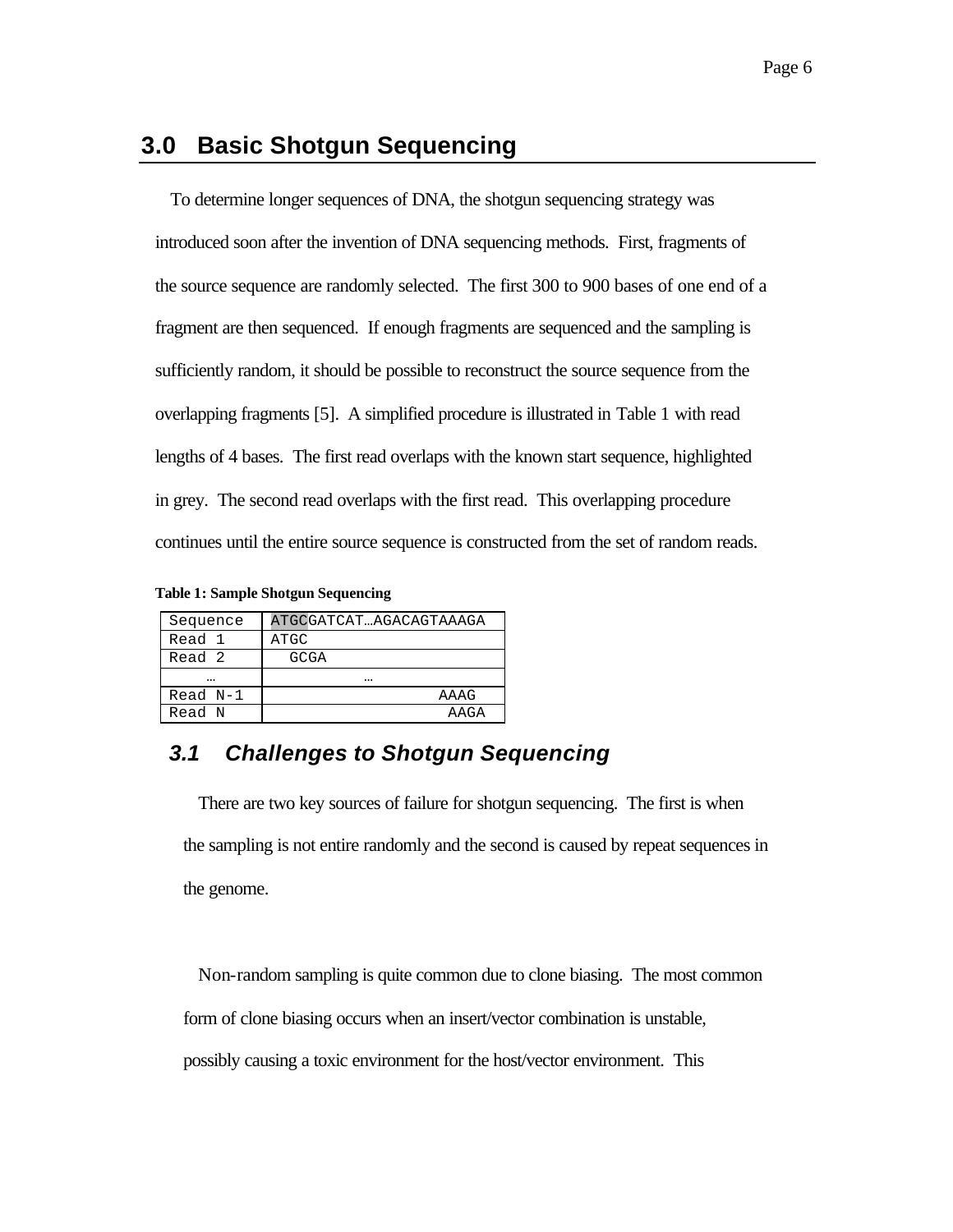# **3.0 Basic Shotgun Sequencing**

To determine longer sequences of DNA, the shotgun sequencing strategy was introduced soon after the invention of DNA sequencing methods. First, fragments of the source sequence are randomly selected. The first 300 to 900 bases of one end of a fragment are then sequenced. If enough fragments are sequenced and the sampling is sufficiently random, it should be possible to reconstruct the source sequence from the overlapping fragments [5]. A simplified procedure is illustrated in Table 1 with read lengths of 4 bases. The first read overlaps with the known start sequence, highlighted in grey. The second read overlaps with the first read. This overlapping procedure continues until the entire source sequence is constructed from the set of random reads.

|  |  |  | Table 1: Sample Shotgun Sequencing |
|--|--|--|------------------------------------|
|--|--|--|------------------------------------|

| Sequence   | ATGCGATCATAGACAGTAAAGA |
|------------|------------------------|
| Read 1     | ATGC                   |
| Read 2     | GCGA                   |
|            |                        |
| $Read N-1$ | AAAG                   |
| Read N     | AAGA                   |

### *3.1 Challenges to Shotgun Sequencing*

There are two key sources of failure for shotgun sequencing. The first is when the sampling is not entire randomly and the second is caused by repeat sequences in the genome.

Non-random sampling is quite common due to clone biasing. The most common form of clone biasing occurs when an insert/vector combination is unstable, possibly causing a toxic environment for the host/vector environment. This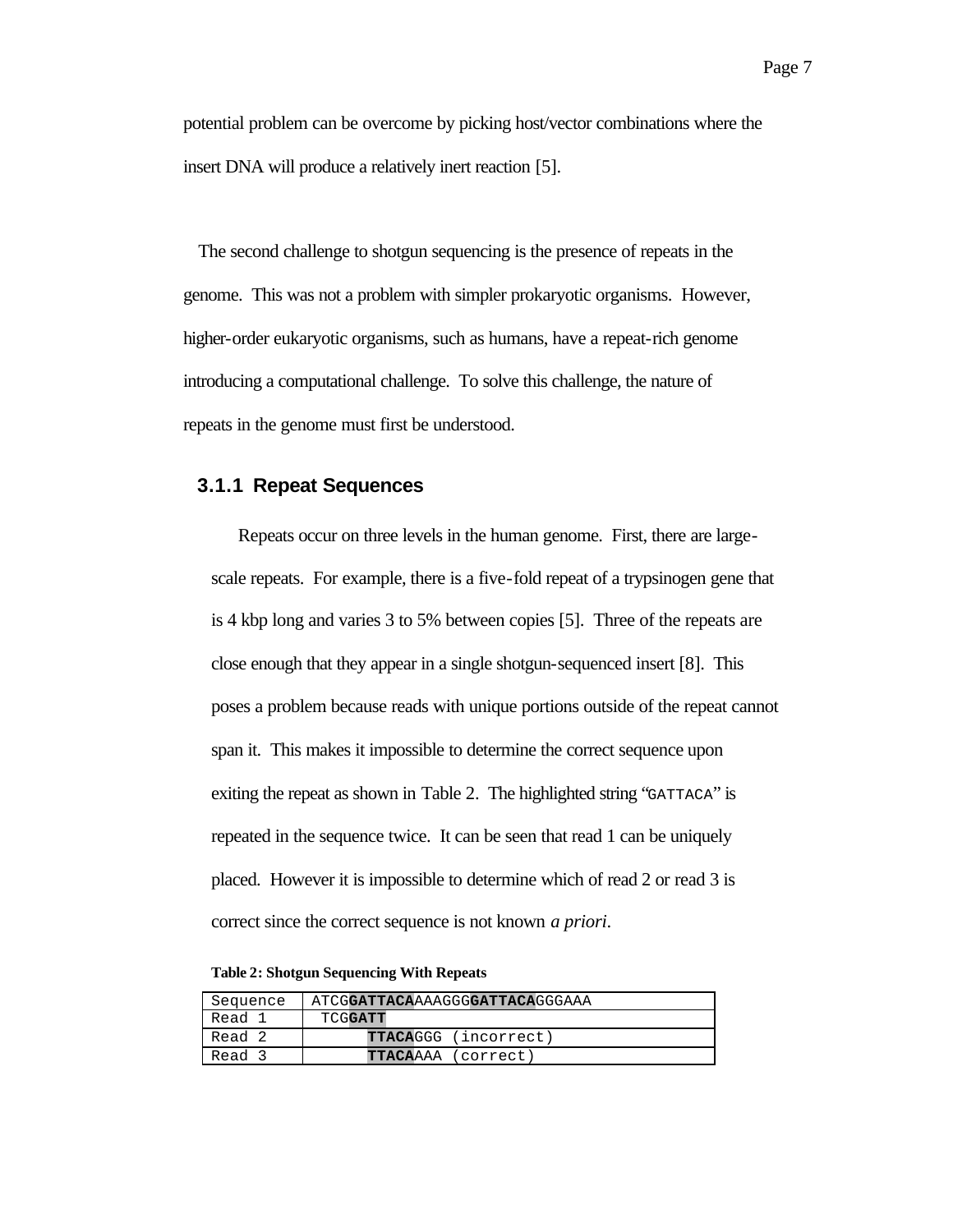potential problem can be overcome by picking host/vector combinations where the insert DNA will produce a relatively inert reaction [5].

The second challenge to shotgun sequencing is the presence of repeats in the genome. This was not a problem with simpler prokaryotic organisms. However, higher-order eukaryotic organisms, such as humans, have a repeat-rich genome introducing a computational challenge. To solve this challenge, the nature of repeats in the genome must first be understood.

#### **3.1.1 Repeat Sequences**

Repeats occur on three levels in the human genome. First, there are largescale repeats. For example, there is a five-fold repeat of a trypsinogen gene that is 4 kbp long and varies 3 to 5% between copies [5]. Three of the repeats are close enough that they appear in a single shotgun-sequenced insert [8]. This poses a problem because reads with unique portions outside of the repeat cannot span it. This makes it impossible to determine the correct sequence upon exiting the repeat as shown in Table 2. The highlighted string "GATTACA" is repeated in the sequence twice. It can be seen that read 1 can be uniquely placed. However it is impossible to determine which of read 2 or read 3 is correct since the correct sequence is not known *a priori*.

**Table 2: Shotgun Sequencing With Repeats**

| Sequence | ATCGGATTACAAAAGGGGATTACAGGGAAA |
|----------|--------------------------------|
| Read 1   | TCGGATT                        |
| Read 2   | <b>TTACAGGG</b> (incorrect)    |
| Read 3   | <b>TTACA</b> AAA (correct)     |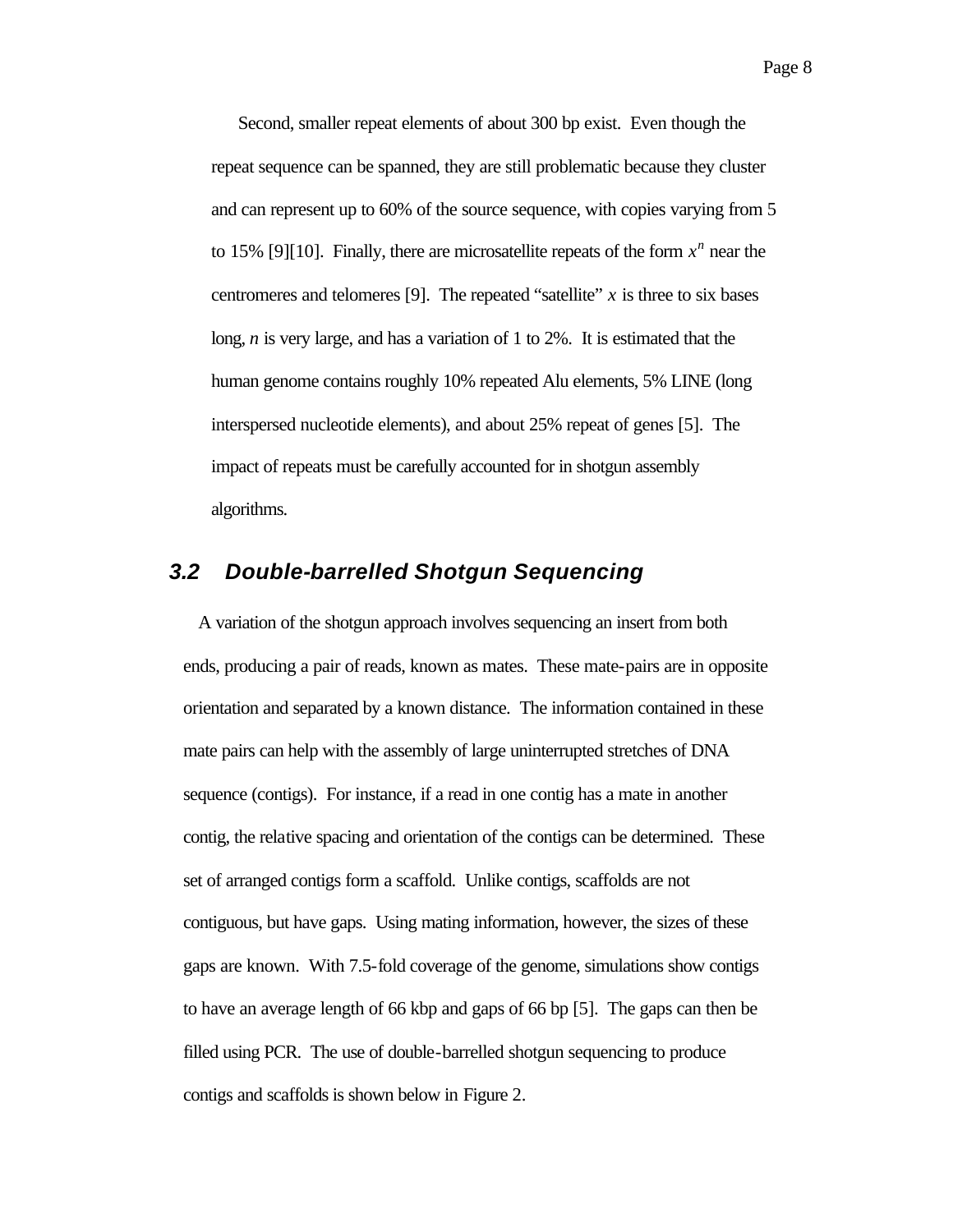Second, smaller repeat elements of about 300 bp exist. Even though the repeat sequence can be spanned, they are still problematic because they cluster and can represent up to 60% of the source sequence, with copies varying from 5 to 15% [9][10]. Finally, there are microsatellite repeats of the form  $x^n$  near the centromeres and telomeres [9]. The repeated "satellite" *x* is three to six bases long, *n* is very large, and has a variation of 1 to 2%. It is estimated that the human genome contains roughly 10% repeated Alu elements, 5% LINE (long interspersed nucleotide elements), and about 25% repeat of genes [5]. The impact of repeats must be carefully accounted for in shotgun assembly algorithms.

#### *3.2 Double-barrelled Shotgun Sequencing*

A variation of the shotgun approach involves sequencing an insert from both ends, producing a pair of reads, known as mates. These mate-pairs are in opposite orientation and separated by a known distance. The information contained in these mate pairs can help with the assembly of large uninterrupted stretches of DNA sequence (contigs). For instance, if a read in one contig has a mate in another contig, the relative spacing and orientation of the contigs can be determined. These set of arranged contigs form a scaffold. Unlike contigs, scaffolds are not contiguous, but have gaps. Using mating information, however, the sizes of these gaps are known. With 7.5-fold coverage of the genome, simulations show contigs to have an average length of 66 kbp and gaps of 66 bp [5]. The gaps can then be filled using PCR. The use of double-barrelled shotgun sequencing to produce contigs and scaffolds is shown below in Figure 2.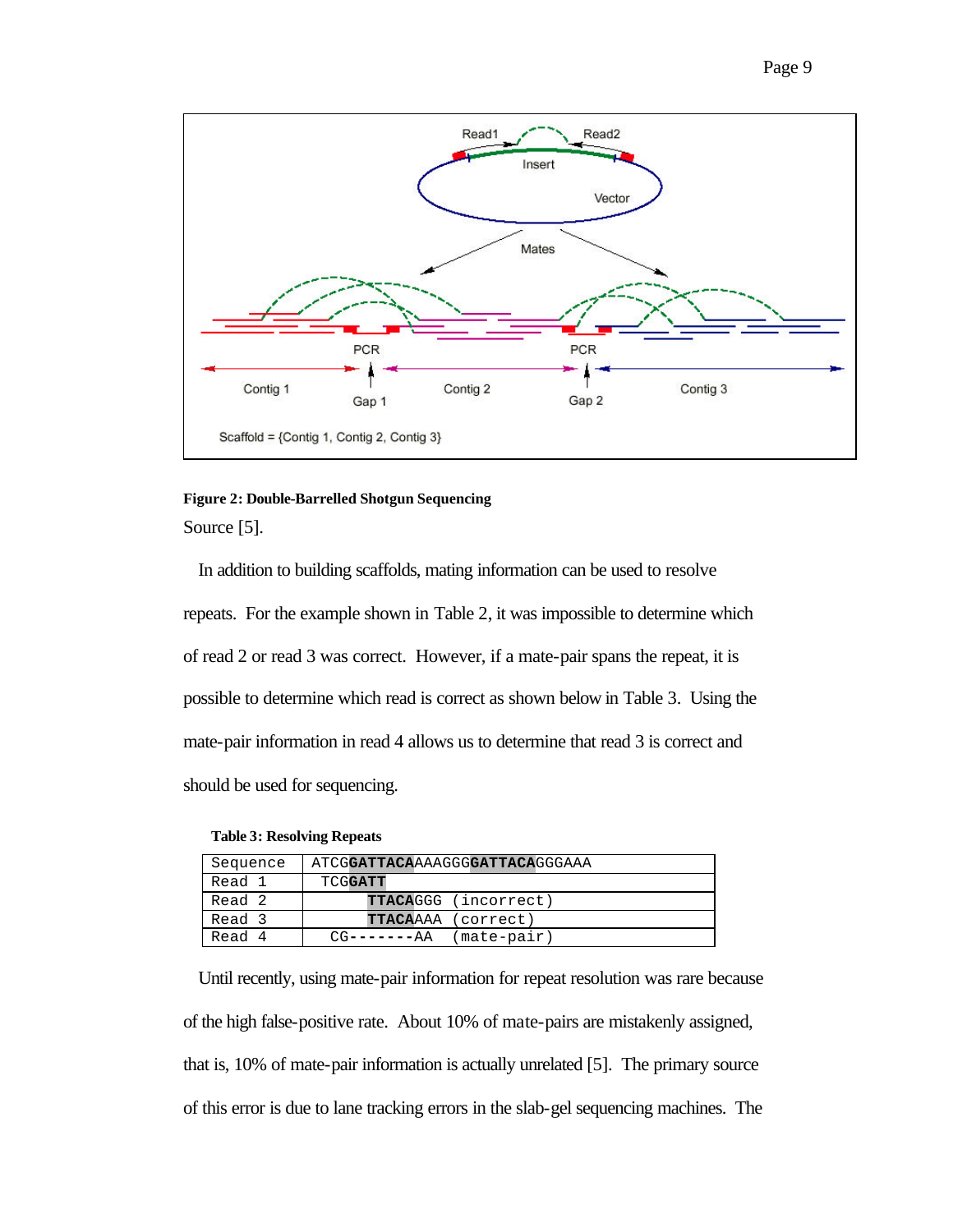

### **Figure 2: Double-Barrelled Shotgun Sequencing** Source [5].

In addition to building scaffolds, mating information can be used to resolve repeats. For the example shown in Table 2, it was impossible to determine which of read 2 or read 3 was correct. However, if a mate-pair spans the repeat, it is possible to determine which read is correct as shown below in Table 3. Using the mate-pair information in read 4 allows us to determine that read 3 is correct and should be used for sequencing.

|  |  | <b>Table 3: Resolving Repeats</b> |  |
|--|--|-----------------------------------|--|
|--|--|-----------------------------------|--|

| Sequence | ATCGGATTACAAAAGGGGATTACAGGGAAA |
|----------|--------------------------------|
| Read 1   | TCGGATT                        |
| Read 2   | <b>TTACAGGG</b> (incorrect)    |
| Read 3   | <b>TTACA</b> AAA (correct)     |
| Read 4   | (mate-pair)<br>$CG------AA$    |

Until recently, using mate-pair information for repeat resolution was rare because of the high false-positive rate. About 10% of mate-pairs are mistakenly assigned, that is, 10% of mate-pair information is actually unrelated [5]. The primary source of this error is due to lane tracking errors in the slab-gel sequencing machines. The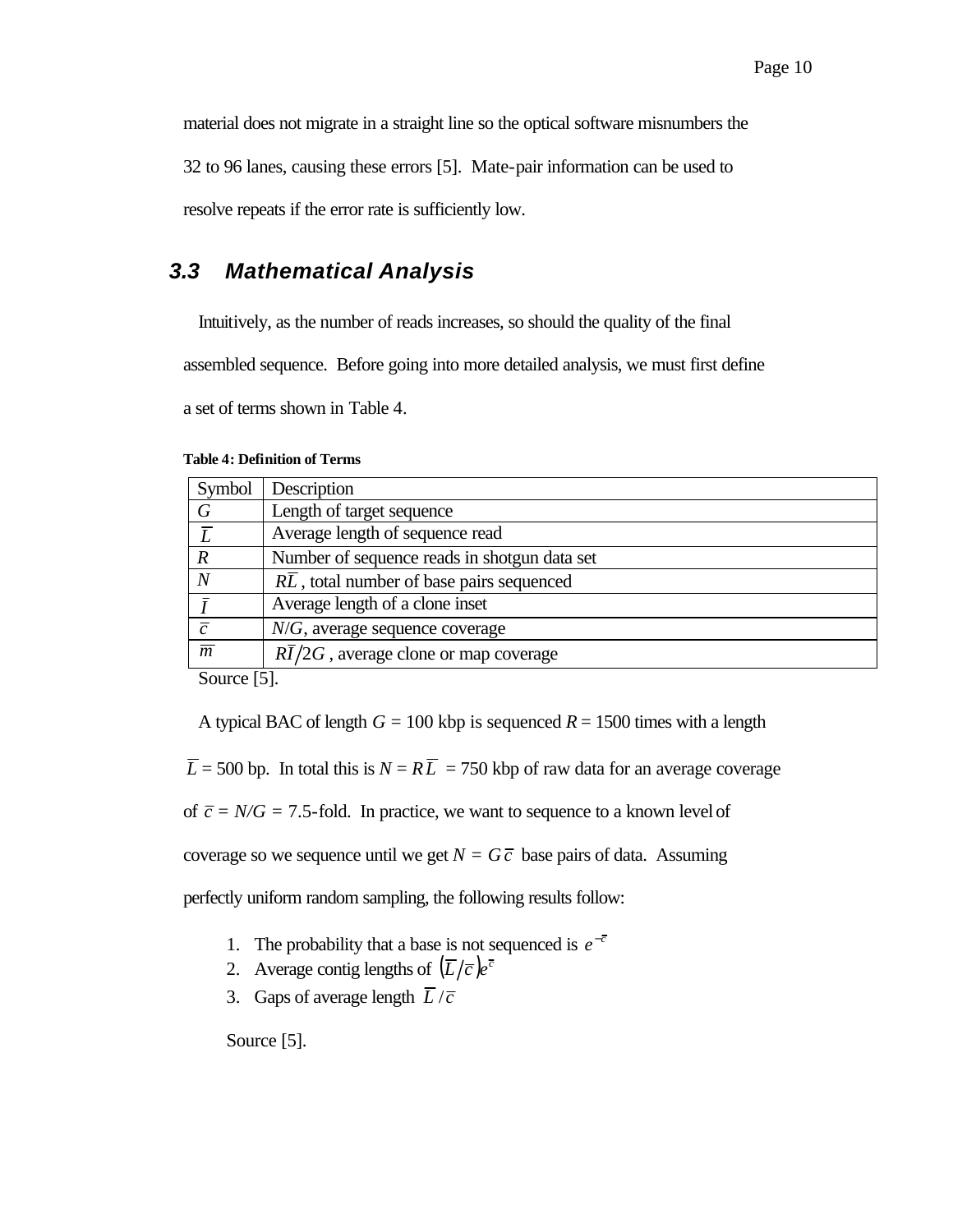material does not migrate in a straight line so the optical software misnumbers the

32 to 96 lanes, causing these errors [5]. Mate-pair information can be used to

resolve repeats if the error rate is sufficiently low.

# *3.3 Mathematical Analysis*

Intuitively, as the number of reads increases, so should the quality of the final

assembled sequence. Before going into more detailed analysis, we must first define

a set of terms shown in Table 4.

| <b>Table 4: Definition of Terms</b> |  |
|-------------------------------------|--|
|-------------------------------------|--|

| Symbol           | Description                                        |
|------------------|----------------------------------------------------|
| $\,G\,$          | Length of target sequence                          |
| $\overline{L}$   | Average length of sequence read                    |
| $\boldsymbol{R}$ | Number of sequence reads in shotgun data set       |
| N                | RL, total number of base pairs sequenced           |
|                  | Average length of a clone inset                    |
| $\overline{c}$   | $N/G$ , average sequence coverage                  |
| $\overline{m}$   | $R\overline{I}/2G$ , average clone or map coverage |
| $\sim$           | ---                                                |

Source [5].

A typical BAC of length  $G = 100$  kbp is sequenced  $R = 1500$  times with a length

 $\overline{L}$  = 500 bp. In total this is  $N = R\overline{L}$  = 750 kbp of raw data for an average coverage

of  $\bar{c}$  = *N/G* = 7.5-fold. In practice, we want to sequence to a known level of

coverage so we sequence until we get  $N = G\overline{c}$  base pairs of data. Assuming

perfectly uniform random sampling, the following results follow:

- 1. The probability that a base is not sequenced is  $e^{-\bar{c}}$
- 2. Average contig lengths of  $(\overline{L}/\overline{c})e^{\overline{c}}$
- 3. Gaps of average length  $\overline{L}/\overline{c}$

Source [5].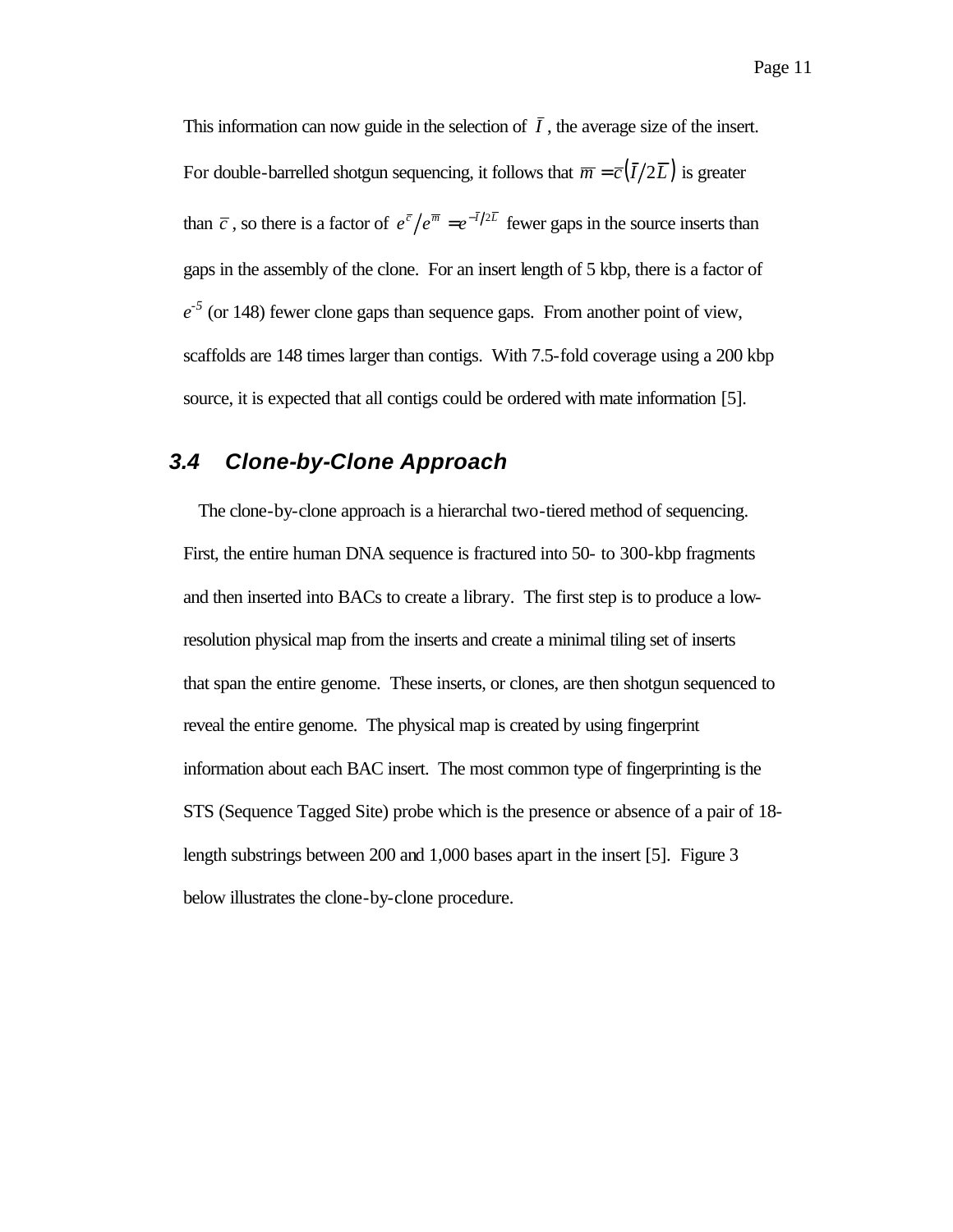This information can now guide in the selection of  $\overline{I}$ , the average size of the insert. For double-barrelled shotgun sequencing, it follows that  $\overline{m} = \overline{c}(\overline{I}/2\overline{L})$  is greater than  $\overline{c}$ , so there is a factor of  $e^{\overline{c}}/e^{\overline{m}} = e^{-\overline{I}/2\overline{L}}$  fewer gaps in the source inserts than gaps in the assembly of the clone. For an insert length of 5 kbp, there is a factor of  $e^{-5}$  (or 148) fewer clone gaps than sequence gaps. From another point of view, scaffolds are 148 times larger than contigs. With 7.5-fold coverage using a 200 kbp source, it is expected that all contigs could be ordered with mate information [5].

# *3.4 Clone-by-Clone Approach*

The clone-by-clone approach is a hierarchal two-tiered method of sequencing. First, the entire human DNA sequence is fractured into 50- to 300-kbp fragments and then inserted into BACs to create a library. The first step is to produce a lowresolution physical map from the inserts and create a minimal tiling set of inserts that span the entire genome. These inserts, or clones, are then shotgun sequenced to reveal the entire genome. The physical map is created by using fingerprint information about each BAC insert. The most common type of fingerprinting is the STS (Sequence Tagged Site) probe which is the presence or absence of a pair of 18 length substrings between 200 and 1,000 bases apart in the insert [5]. Figure 3 below illustrates the clone-by-clone procedure.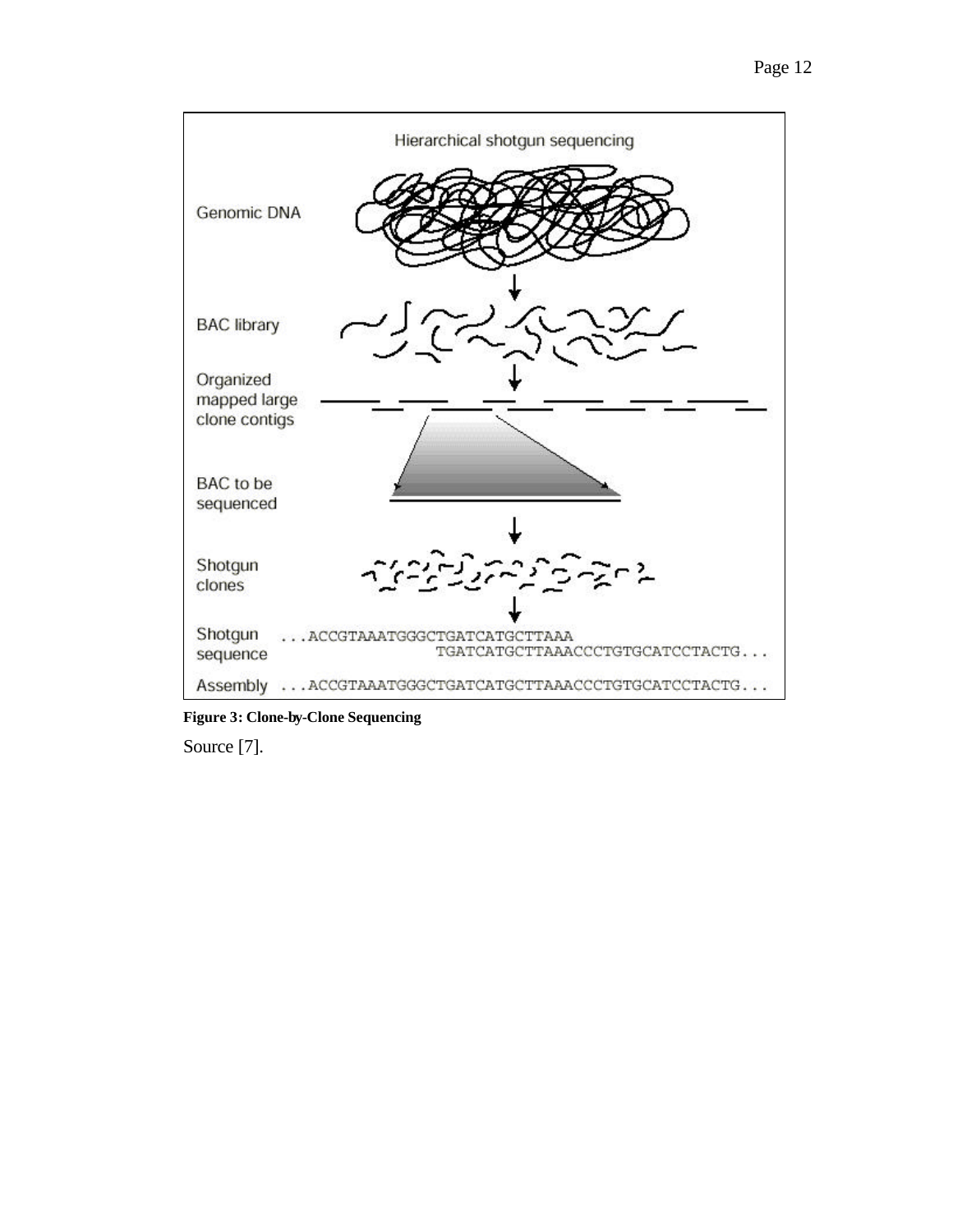

**Figure 3: Clone-by-Clone Sequencing**

Source [7].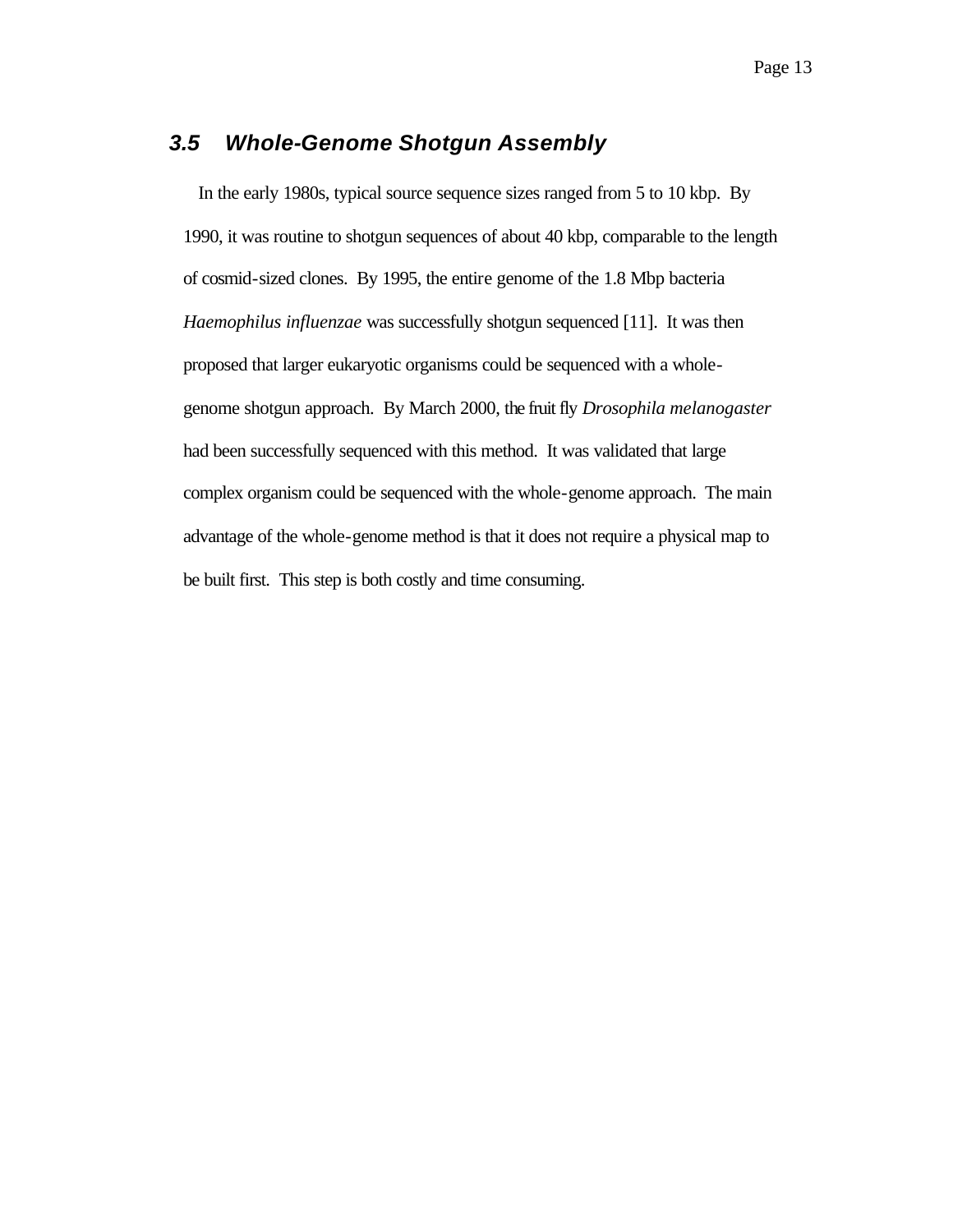# *3.5 Whole-Genome Shotgun Assembly*

In the early 1980s, typical source sequence sizes ranged from 5 to 10 kbp. By 1990, it was routine to shotgun sequences of about 40 kbp, comparable to the length of cosmid-sized clones. By 1995, the entire genome of the 1.8 Mbp bacteria *Haemophilus influenzae* was successfully shotgun sequenced [11]. It was then proposed that larger eukaryotic organisms could be sequenced with a wholegenome shotgun approach. By March 2000, the fruit fly *Drosophila melanogaster* had been successfully sequenced with this method. It was validated that large complex organism could be sequenced with the whole-genome approach. The main advantage of the whole-genome method is that it does not require a physical map to be built first. This step is both costly and time consuming.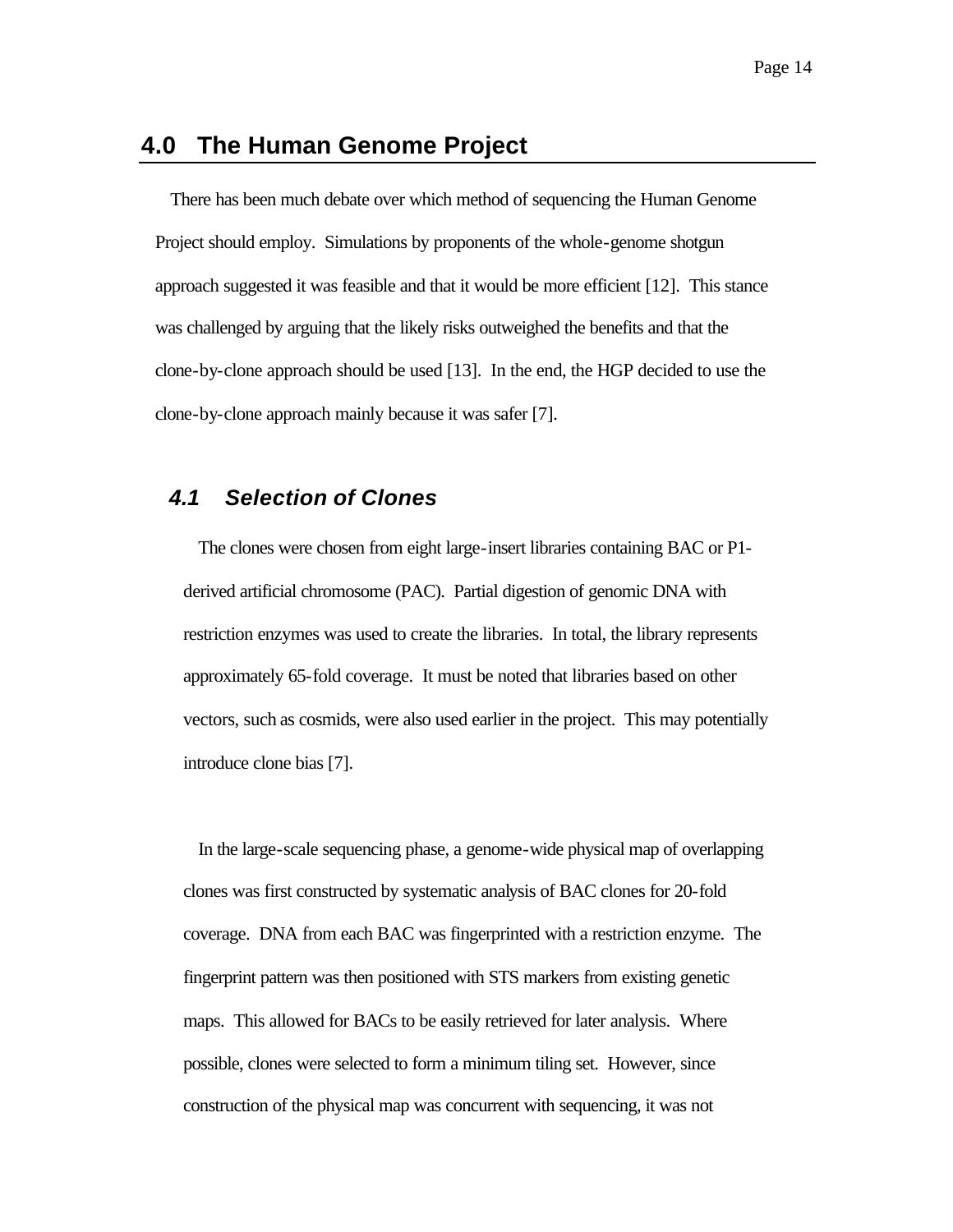### **4.0 The Human Genome Project**

There has been much debate over which method of sequencing the Human Genome Project should employ. Simulations by proponents of the whole-genome shotgun approach suggested it was feasible and that it would be more efficient [12]. This stance was challenged by arguing that the likely risks outweighed the benefits and that the clone-by-clone approach should be used [13]. In the end, the HGP decided to use the clone-by-clone approach mainly because it was safer [7].

### *4.1 Selection of Clones*

The clones were chosen from eight large-insert libraries containing BAC or P1 derived artificial chromosome (PAC). Partial digestion of genomic DNA with restriction enzymes was used to create the libraries. In total, the library represents approximately 65-fold coverage. It must be noted that libraries based on other vectors, such as cosmids, were also used earlier in the project. This may potentially introduce clone bias [7].

In the large-scale sequencing phase, a genome-wide physical map of overlapping clones was first constructed by systematic analysis of BAC clones for 20-fold coverage. DNA from each BAC was fingerprinted with a restriction enzyme. The fingerprint pattern was then positioned with STS markers from existing genetic maps. This allowed for BACs to be easily retrieved for later analysis. Where possible, clones were selected to form a minimum tiling set. However, since construction of the physical map was concurrent with sequencing, it was not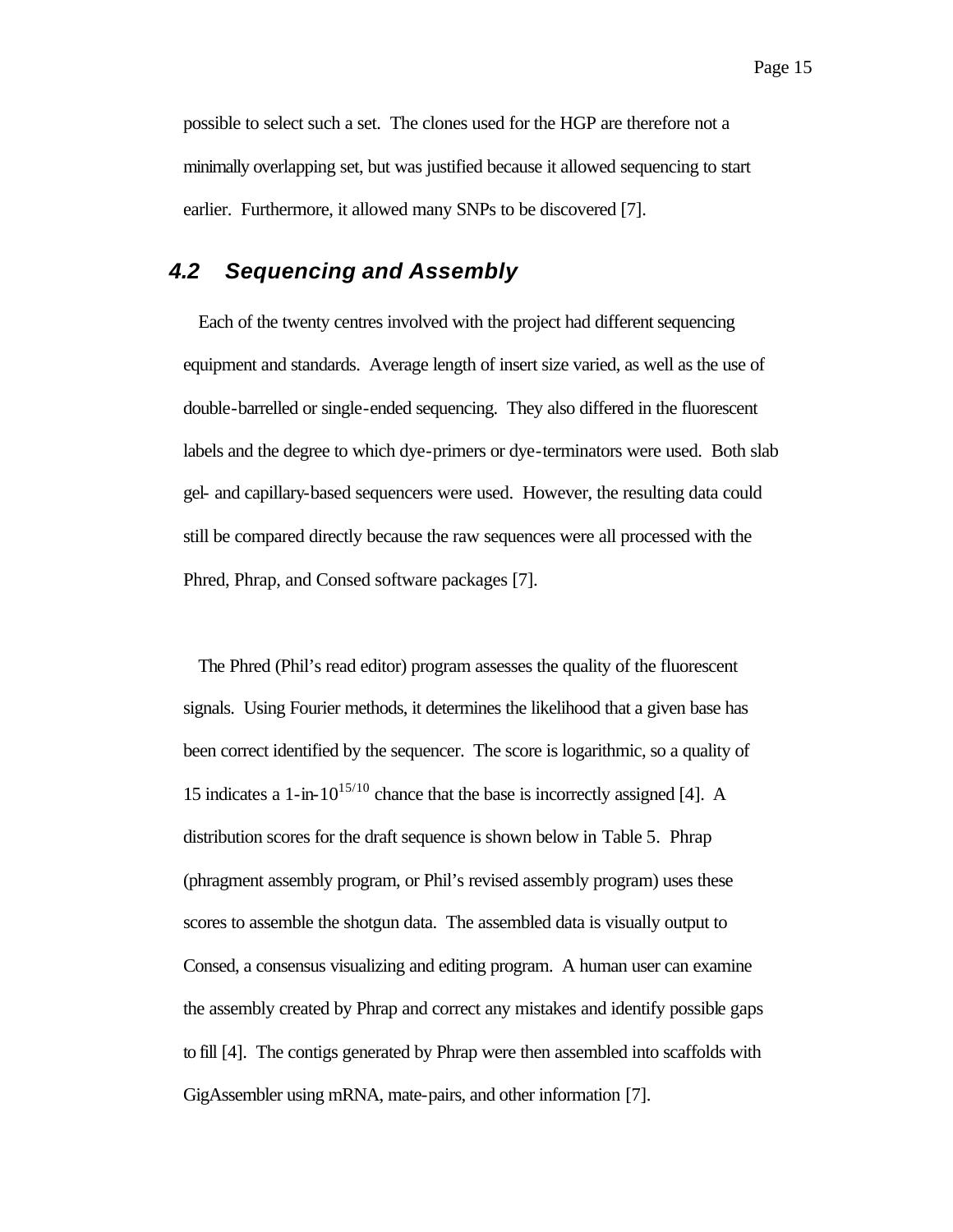possible to select such a set. The clones used for the HGP are therefore not a minimally overlapping set, but was justified because it allowed sequencing to start earlier. Furthermore, it allowed many SNPs to be discovered [7].

# *4.2 Sequencing and Assembly*

Each of the twenty centres involved with the project had different sequencing equipment and standards. Average length of insert size varied, as well as the use of double-barrelled or single-ended sequencing. They also differed in the fluorescent labels and the degree to which dye-primers or dye-terminators were used. Both slab gel- and capillary-based sequencers were used. However, the resulting data could still be compared directly because the raw sequences were all processed with the Phred, Phrap, and Consed software packages [7].

The Phred (Phil's read editor) program assesses the quality of the fluorescent signals. Using Fourier methods, it determines the likelihood that a given base has been correct identified by the sequencer. The score is logarithmic, so a quality of 15 indicates a 1-in- $10^{15/10}$  chance that the base is incorrectly assigned [4]. A distribution scores for the draft sequence is shown below in Table 5. Phrap (phragment assembly program, or Phil's revised assembly program) uses these scores to assemble the shotgun data. The assembled data is visually output to Consed, a consensus visualizing and editing program. A human user can examine the assembly created by Phrap and correct any mistakes and identify possible gaps to fill [4]. The contigs generated by Phrap were then assembled into scaffolds with GigAssembler using mRNA, mate-pairs, and other information [7].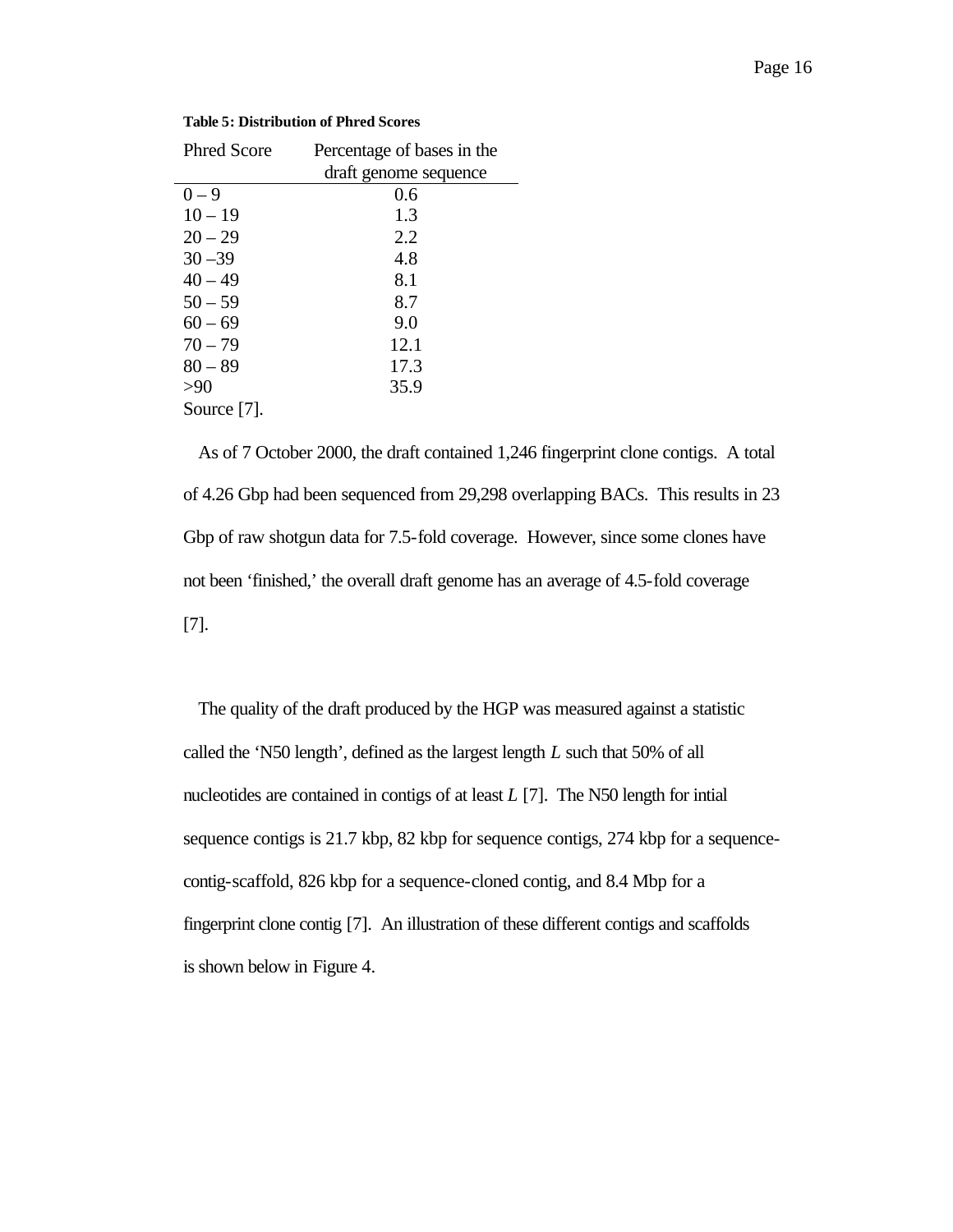| <b>Phred Score</b> | Percentage of bases in the |
|--------------------|----------------------------|
|                    | draft genome sequence      |
| $0 - 9$            | 0.6                        |
| $10 - 19$          | 1.3                        |
| $20 - 29$          | 2.2                        |
| $30 - 39$          | 4.8                        |
| $40 - 49$          | 8.1                        |
| $50 - 59$          | 8.7                        |
| $60 - 69$          | 9.0                        |
| $70 - 79$          | 12.1                       |
| $80 - 89$          | 17.3                       |
| >90                | 35.9                       |
| Source [7].        |                            |

#### **Table 5: Distribution of Phred Scores**

As of 7 October 2000, the draft contained 1,246 fingerprint clone contigs. A total of 4.26 Gbp had been sequenced from 29,298 overlapping BACs. This results in 23 Gbp of raw shotgun data for 7.5-fold coverage. However, since some clones have not been 'finished,' the overall draft genome has an average of 4.5-fold coverage [7].

The quality of the draft produced by the HGP was measured against a statistic called the 'N50 length', defined as the largest length *L* such that 50% of all nucleotides are contained in contigs of at least *L* [7]. The N50 length for intial sequence contigs is 21.7 kbp, 82 kbp for sequence contigs, 274 kbp for a sequencecontig-scaffold, 826 kbp for a sequence-cloned contig, and 8.4 Mbp for a fingerprint clone contig [7]. An illustration of these different contigs and scaffolds is shown below in Figure 4.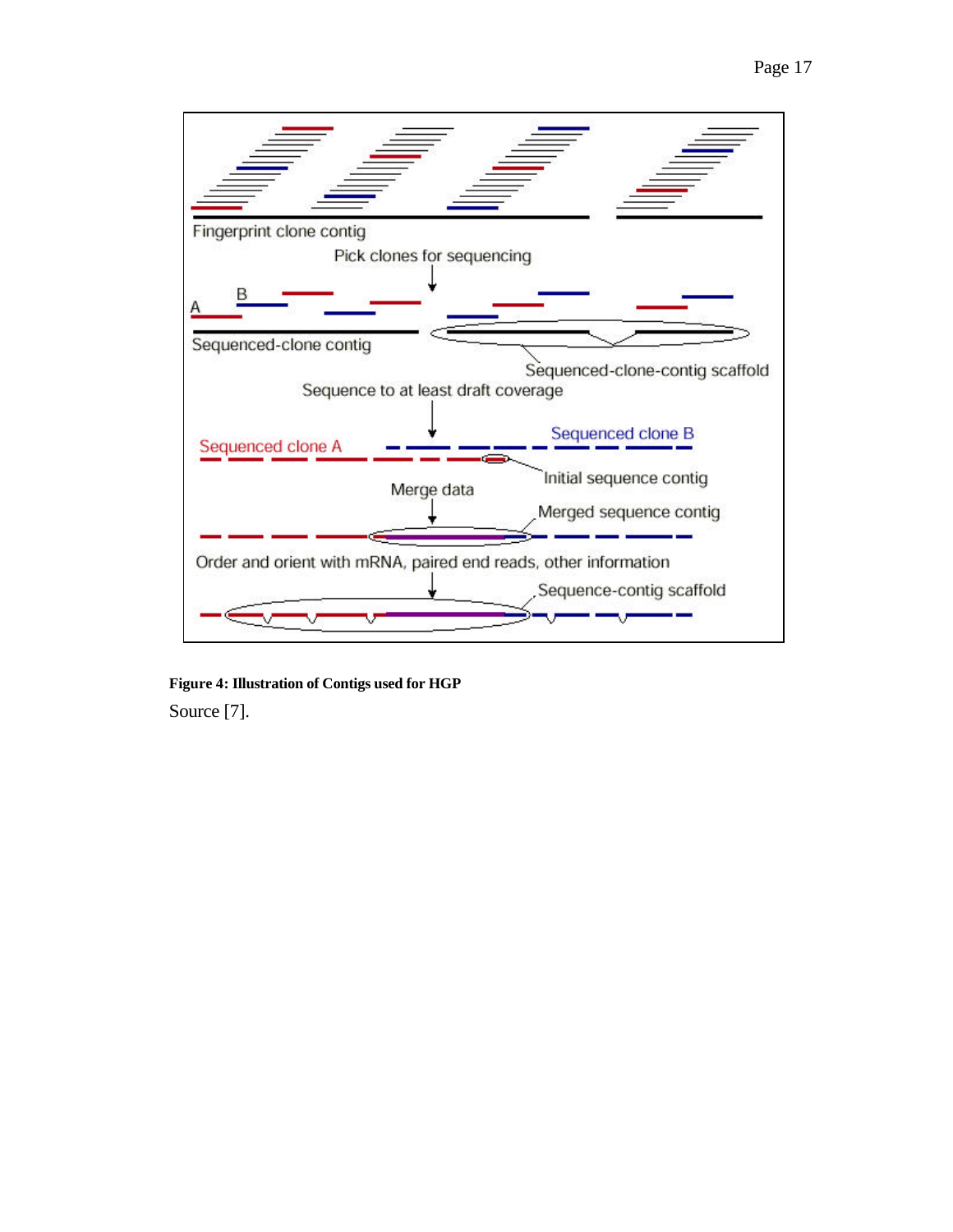

**Figure 4: Illustration of Contigs used for HGP** Source [7].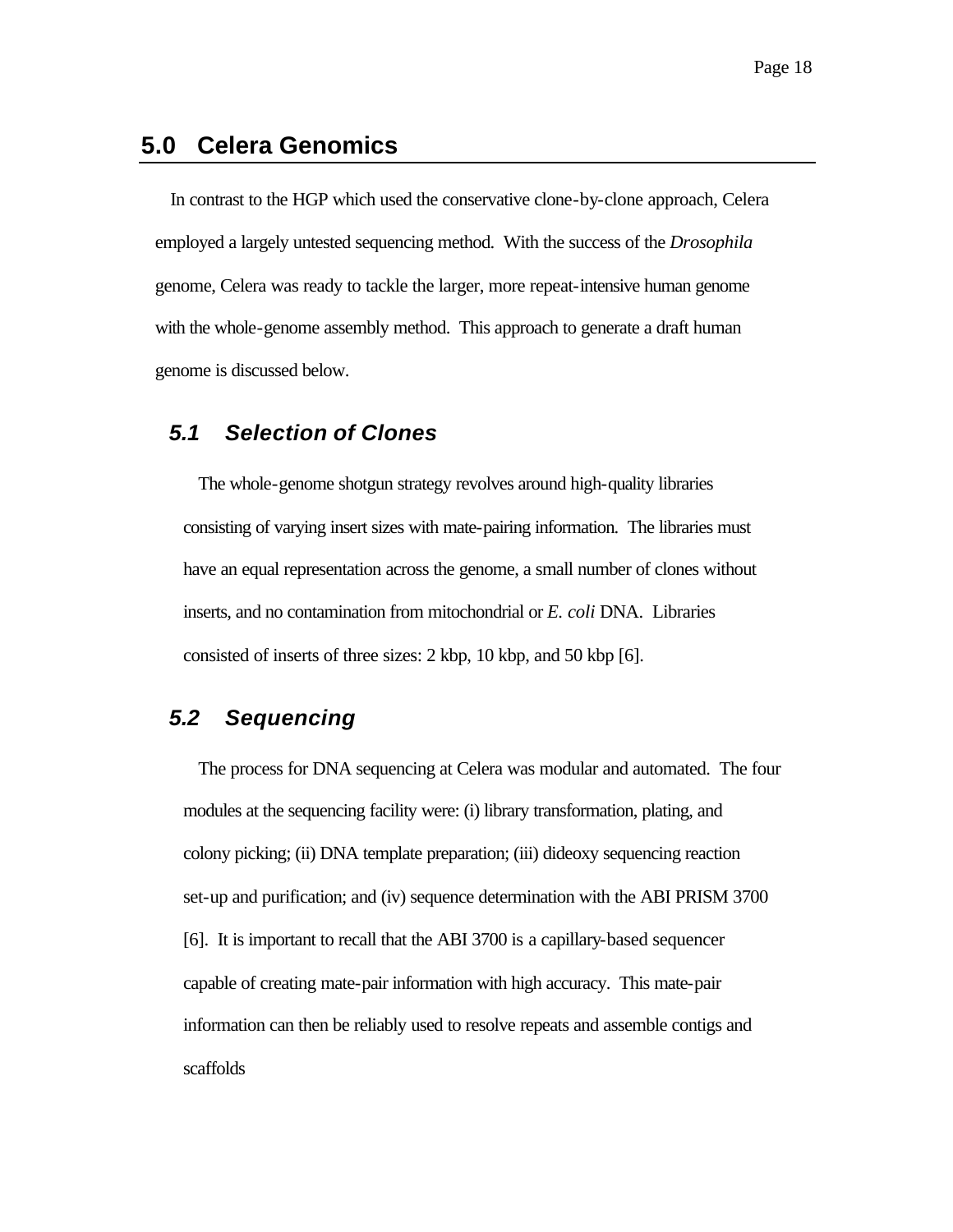# **5.0 Celera Genomics**

In contrast to the HGP which used the conservative clone-by-clone approach, Celera employed a largely untested sequencing method. With the success of the *Drosophila* genome, Celera was ready to tackle the larger, more repeat-intensive human genome with the whole-genome assembly method. This approach to generate a draft human genome is discussed below.

#### *5.1 Selection of Clones*

The whole-genome shotgun strategy revolves around high-quality libraries consisting of varying insert sizes with mate-pairing information. The libraries must have an equal representation across the genome, a small number of clones without inserts, and no contamination from mitochondrial or *E. coli* DNA. Libraries consisted of inserts of three sizes: 2 kbp, 10 kbp, and 50 kbp [6].

## *5.2 Sequencing*

The process for DNA sequencing at Celera was modular and automated. The four modules at the sequencing facility were: (i) library transformation, plating, and colony picking; (ii) DNA template preparation; (iii) dideoxy sequencing reaction set-up and purification; and (iv) sequence determination with the ABI PRISM 3700 [6]. It is important to recall that the ABI 3700 is a capillary-based sequencer capable of creating mate-pair information with high accuracy. This mate-pair information can then be reliably used to resolve repeats and assemble contigs and scaffolds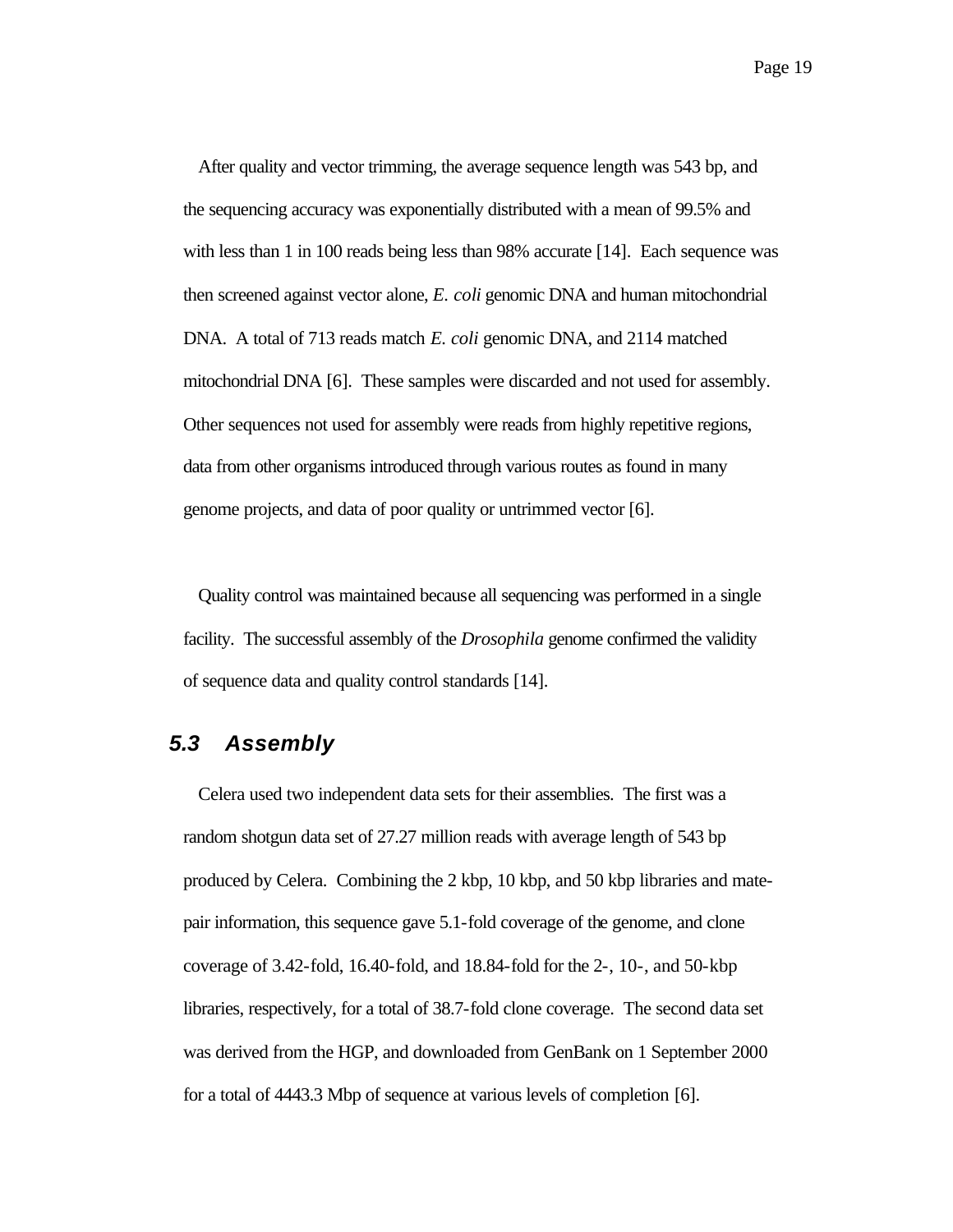After quality and vector trimming, the average sequence length was 543 bp, and the sequencing accuracy was exponentially distributed with a mean of 99.5% and with less than 1 in 100 reads being less than 98% accurate [14]. Each sequence was then screened against vector alone, *E. coli* genomic DNA and human mitochondrial DNA. A total of 713 reads match *E. coli* genomic DNA, and 2114 matched mitochondrial DNA [6]. These samples were discarded and not used for assembly. Other sequences not used for assembly were reads from highly repetitive regions, data from other organisms introduced through various routes as found in many genome projects, and data of poor quality or untrimmed vector [6].

Quality control was maintained because all sequencing was performed in a single facility. The successful assembly of the *Drosophila* genome confirmed the validity of sequence data and quality control standards [14].

#### *5.3 Assembly*

Celera used two independent data sets for their assemblies. The first was a random shotgun data set of 27.27 million reads with average length of 543 bp produced by Celera. Combining the 2 kbp, 10 kbp, and 50 kbp libraries and matepair information, this sequence gave 5.1-fold coverage of the genome, and clone coverage of 3.42-fold, 16.40-fold, and 18.84-fold for the 2-, 10-, and 50-kbp libraries, respectively, for a total of 38.7-fold clone coverage. The second data set was derived from the HGP, and downloaded from GenBank on 1 September 2000 for a total of 4443.3 Mbp of sequence at various levels of completion [6].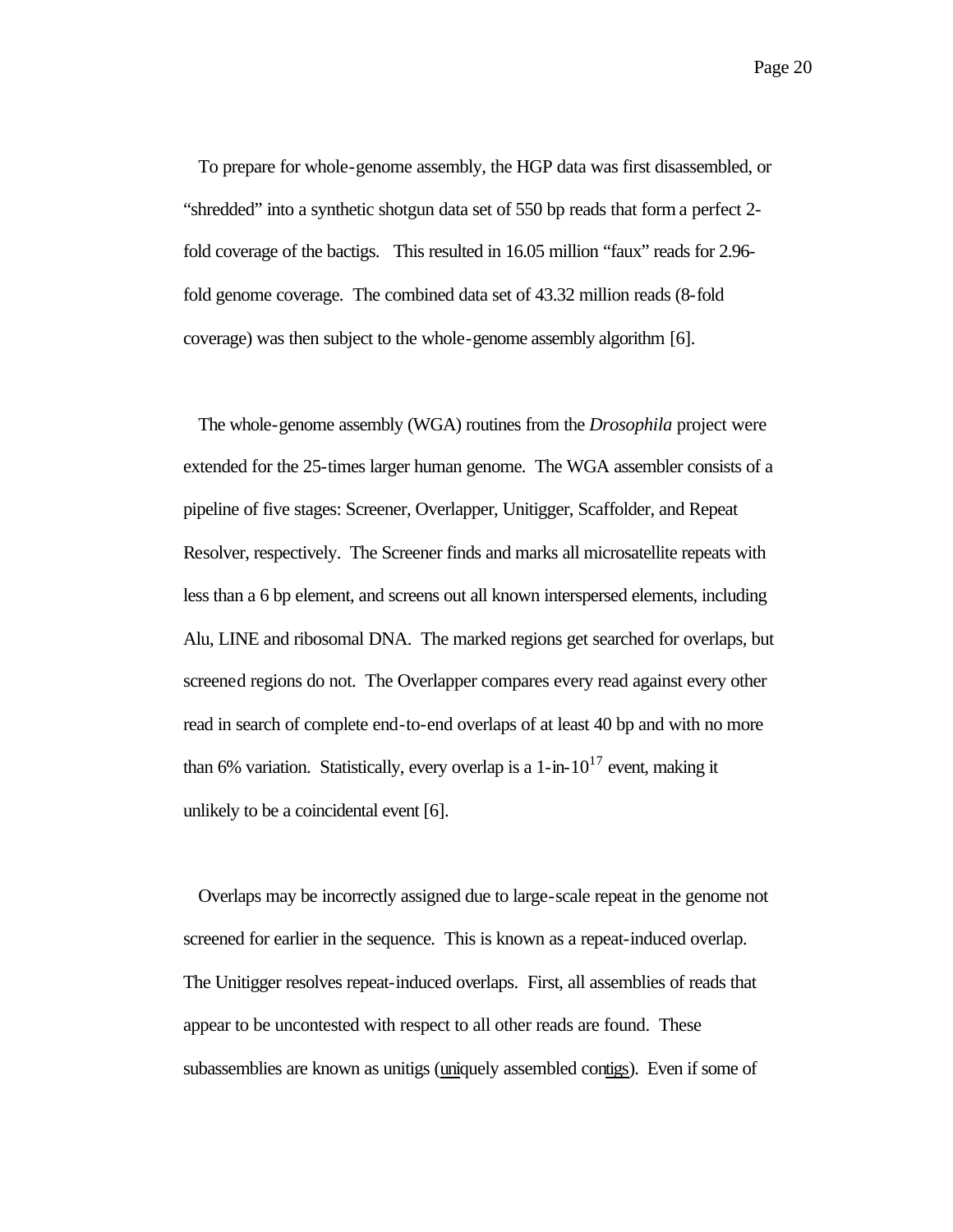Page 20

To prepare for whole-genome assembly, the HGP data was first disassembled, or "shredded" into a synthetic shotgun data set of 550 bp reads that form a perfect 2 fold coverage of the bactigs. This resulted in 16.05 million "faux" reads for 2.96 fold genome coverage. The combined data set of 43.32 million reads (8-fold coverage) was then subject to the whole-genome assembly algorithm [6].

The whole-genome assembly (WGA) routines from the *Drosophila* project were extended for the 25-times larger human genome. The WGA assembler consists of a pipeline of five stages: Screener, Overlapper, Unitigger, Scaffolder, and Repeat Resolver, respectively. The Screener finds and marks all microsatellite repeats with less than a 6 bp element, and screens out all known interspersed elements, including Alu, LINE and ribosomal DNA. The marked regions get searched for overlaps, but screened regions do not. The Overlapper compares every read against every other read in search of complete end-to-end overlaps of at least 40 bp and with no more than 6% variation. Statistically, every overlap is a 1-in- $10^{17}$  event, making it unlikely to be a coincidental event [6].

Overlaps may be incorrectly assigned due to large-scale repeat in the genome not screened for earlier in the sequence. This is known as a repeat-induced overlap. The Unitigger resolves repeat-induced overlaps. First, all assemblies of reads that appear to be uncontested with respect to all other reads are found. These subassemblies are known as unitigs (uniquely assembled contigs). Even if some of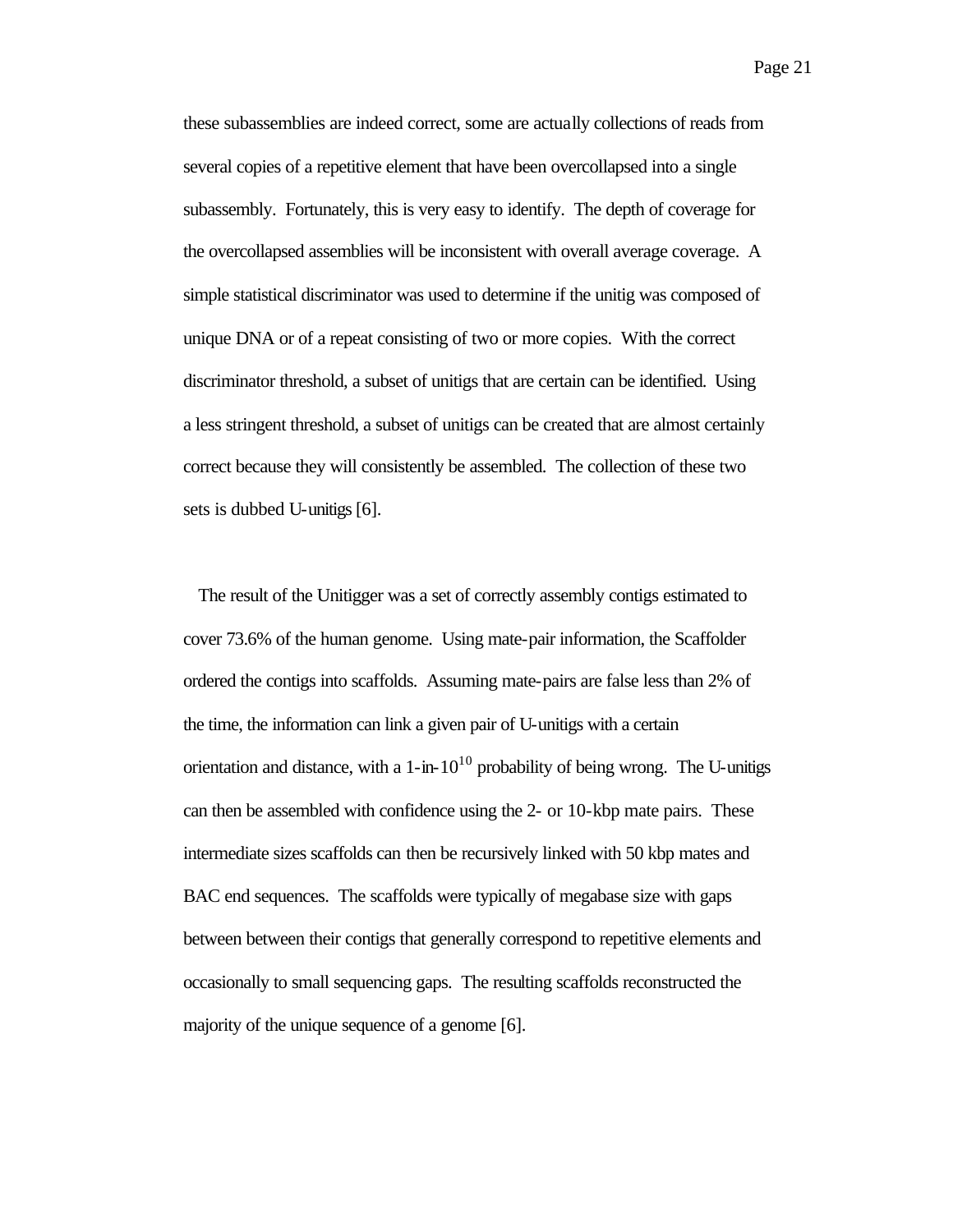these subassemblies are indeed correct, some are actually collections of reads from several copies of a repetitive element that have been overcollapsed into a single subassembly. Fortunately, this is very easy to identify. The depth of coverage for the overcollapsed assemblies will be inconsistent with overall average coverage. A simple statistical discriminator was used to determine if the unitig was composed of unique DNA or of a repeat consisting of two or more copies. With the correct discriminator threshold, a subset of unitigs that are certain can be identified. Using a less stringent threshold, a subset of unitigs can be created that are almost certainly correct because they will consistently be assembled. The collection of these two sets is dubbed U-unitigs [6].

The result of the Unitigger was a set of correctly assembly contigs estimated to cover 73.6% of the human genome. Using mate-pair information, the Scaffolder ordered the contigs into scaffolds. Assuming mate-pairs are false less than 2% of the time, the information can link a given pair of U-unitigs with a certain orientation and distance, with a  $1$ -in- $10^{10}$  probability of being wrong. The U-unitigs can then be assembled with confidence using the 2- or 10-kbp mate pairs. These intermediate sizes scaffolds can then be recursively linked with 50 kbp mates and BAC end sequences. The scaffolds were typically of megabase size with gaps between between their contigs that generally correspond to repetitive elements and occasionally to small sequencing gaps. The resulting scaffolds reconstructed the majority of the unique sequence of a genome [6].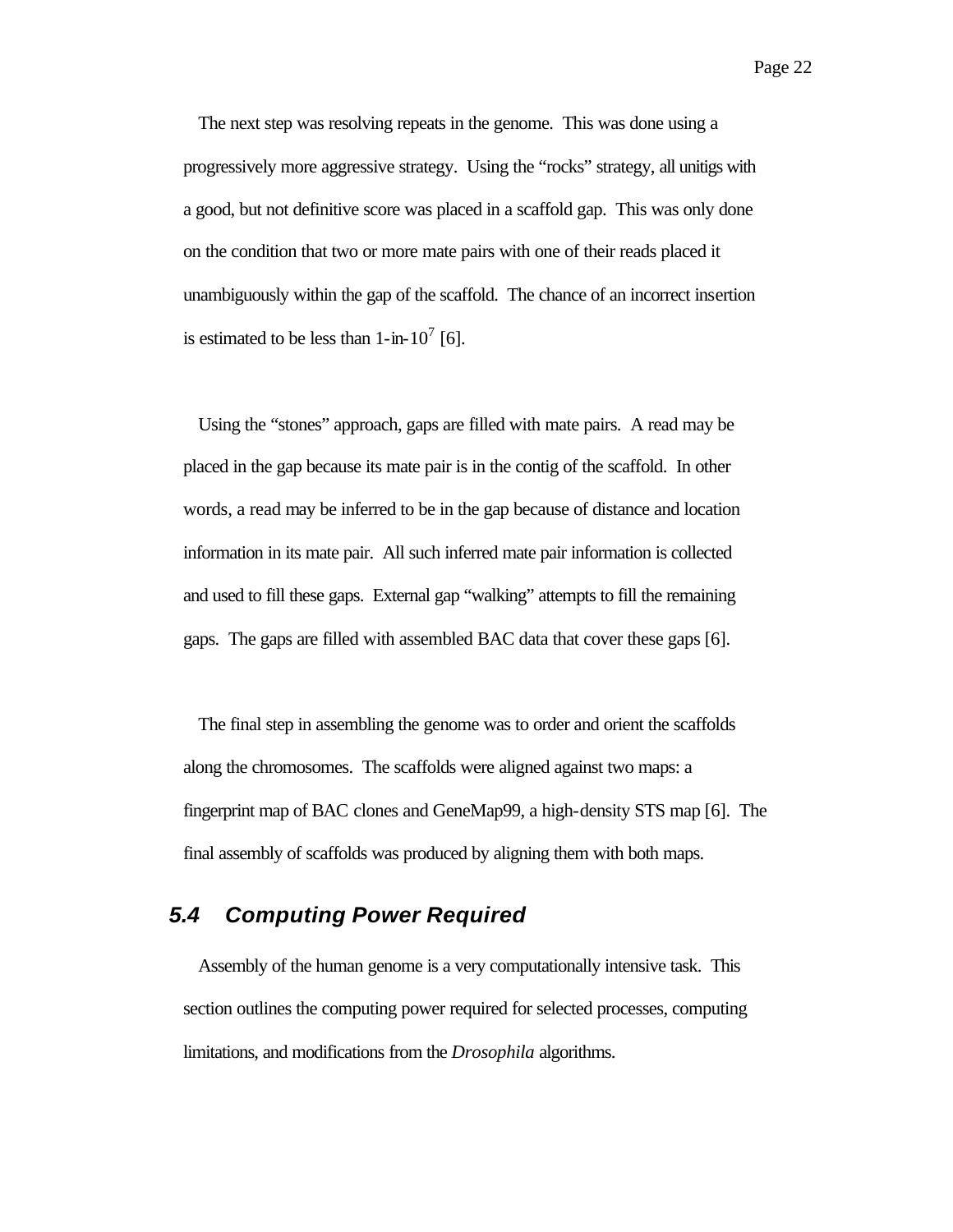The next step was resolving repeats in the genome. This was done using a progressively more aggressive strategy. Using the "rocks" strategy, all unitigs with a good, but not definitive score was placed in a scaffold gap. This was only done on the condition that two or more mate pairs with one of their reads placed it unambiguously within the gap of the scaffold. The chance of an incorrect insertion is estimated to be less than  $1$ -in- $10^7$  [6].

Using the "stones" approach, gaps are filled with mate pairs. A read may be placed in the gap because its mate pair is in the contig of the scaffold. In other words, a read may be inferred to be in the gap because of distance and location information in its mate pair. All such inferred mate pair information is collected and used to fill these gaps. External gap "walking" attempts to fill the remaining gaps. The gaps are filled with assembled BAC data that cover these gaps [6].

The final step in assembling the genome was to order and orient the scaffolds along the chromosomes. The scaffolds were aligned against two maps: a fingerprint map of BAC clones and GeneMap99, a high-density STS map [6]. The final assembly of scaffolds was produced by aligning them with both maps.

#### *5.4 Computing Power Required*

Assembly of the human genome is a very computationally intensive task. This section outlines the computing power required for selected processes, computing limitations, and modifications from the *Drosophila* algorithms.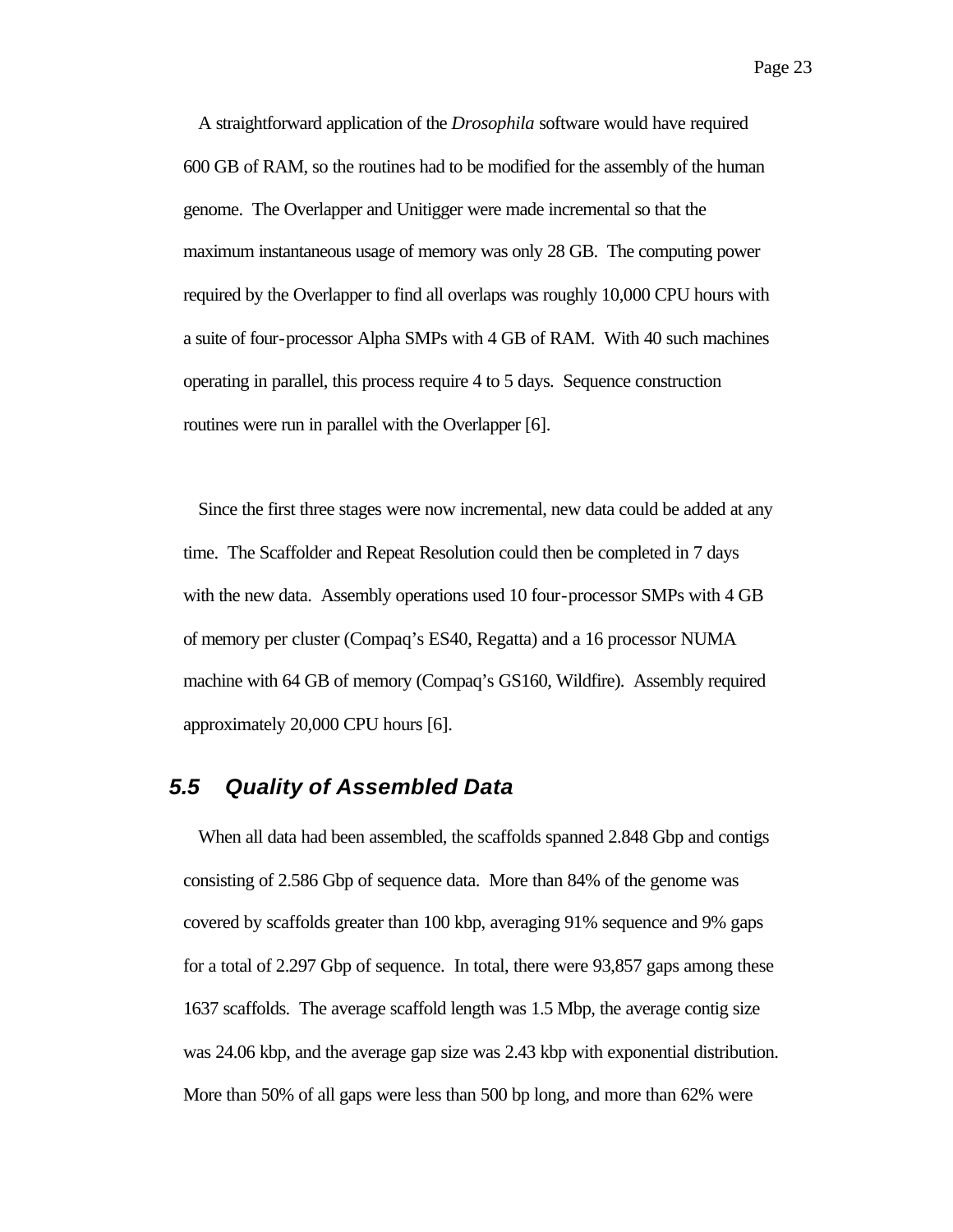A straightforward application of the *Drosophila* software would have required 600 GB of RAM, so the routines had to be modified for the assembly of the human genome. The Overlapper and Unitigger were made incremental so that the maximum instantaneous usage of memory was only 28 GB. The computing power required by the Overlapper to find all overlaps was roughly 10,000 CPU hours with a suite of four-processor Alpha SMPs with 4 GB of RAM. With 40 such machines operating in parallel, this process require 4 to 5 days. Sequence construction routines were run in parallel with the Overlapper [6].

Since the first three stages were now incremental, new data could be added at any time. The Scaffolder and Repeat Resolution could then be completed in 7 days with the new data. Assembly operations used 10 four-processor SMPs with 4 GB of memory per cluster (Compaq's ES40, Regatta) and a 16 processor NUMA machine with 64 GB of memory (Compaq's GS160, Wildfire). Assembly required approximately 20,000 CPU hours [6].

#### *5.5 Quality of Assembled Data*

When all data had been assembled, the scaffolds spanned 2.848 Gbp and contigs consisting of 2.586 Gbp of sequence data. More than 84% of the genome was covered by scaffolds greater than 100 kbp, averaging 91% sequence and 9% gaps for a total of 2.297 Gbp of sequence. In total, there were 93,857 gaps among these 1637 scaffolds. The average scaffold length was 1.5 Mbp, the average contig size was 24.06 kbp, and the average gap size was 2.43 kbp with exponential distribution. More than 50% of all gaps were less than 500 bp long, and more than 62% were

Page 23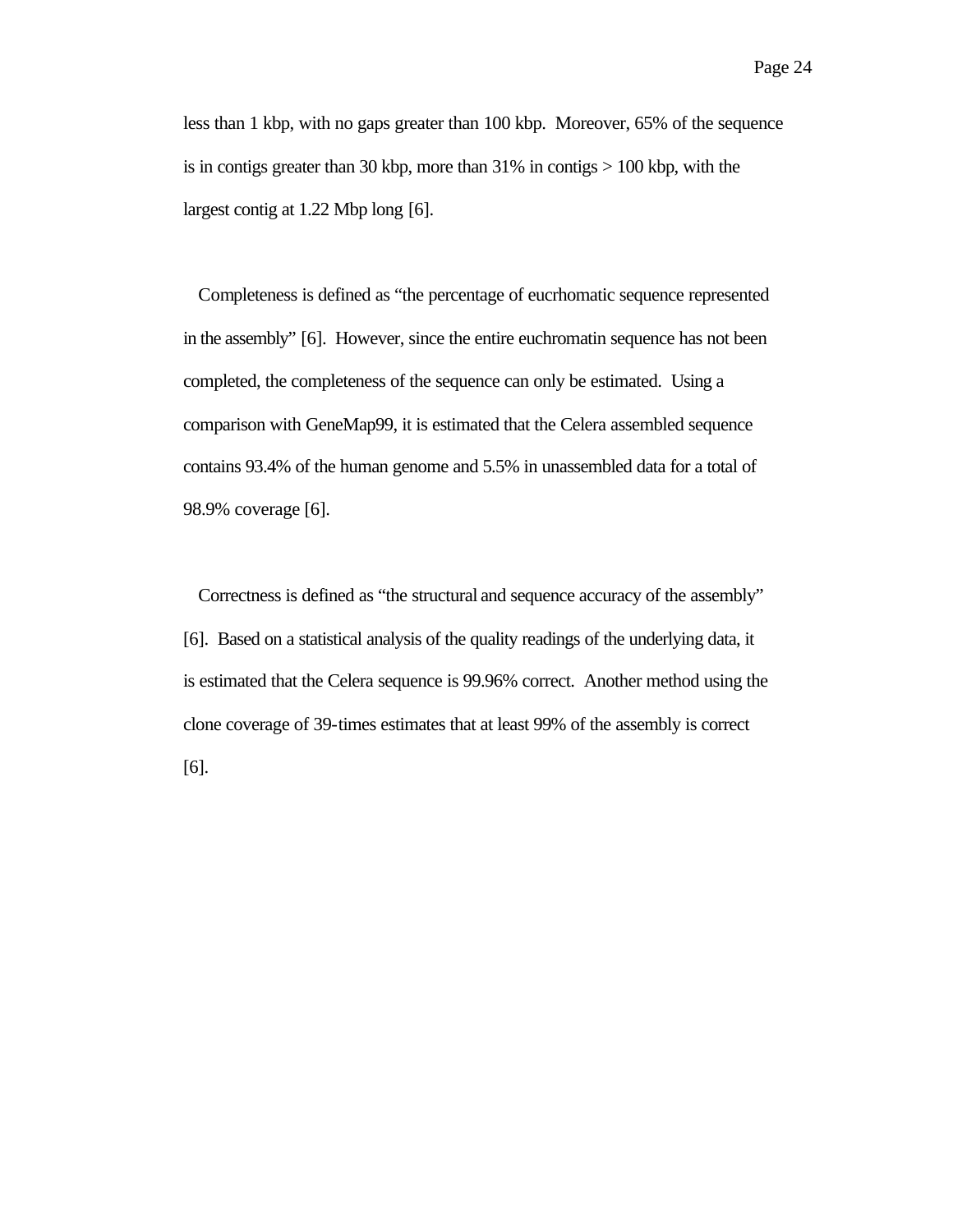less than 1 kbp, with no gaps greater than 100 kbp. Moreover, 65% of the sequence is in contigs greater than 30 kbp, more than 31% in contigs > 100 kbp, with the largest contig at 1.22 Mbp long [6].

Completeness is defined as "the percentage of eucrhomatic sequence represented in the assembly" [6]. However, since the entire euchromatin sequence has not been completed, the completeness of the sequence can only be estimated. Using a comparison with GeneMap99, it is estimated that the Celera assembled sequence contains 93.4% of the human genome and 5.5% in unassembled data for a total of 98.9% coverage [6].

Correctness is defined as "the structural and sequence accuracy of the assembly" [6]. Based on a statistical analysis of the quality readings of the underlying data, it is estimated that the Celera sequence is 99.96% correct. Another method using the clone coverage of 39-times estimates that at least 99% of the assembly is correct [6].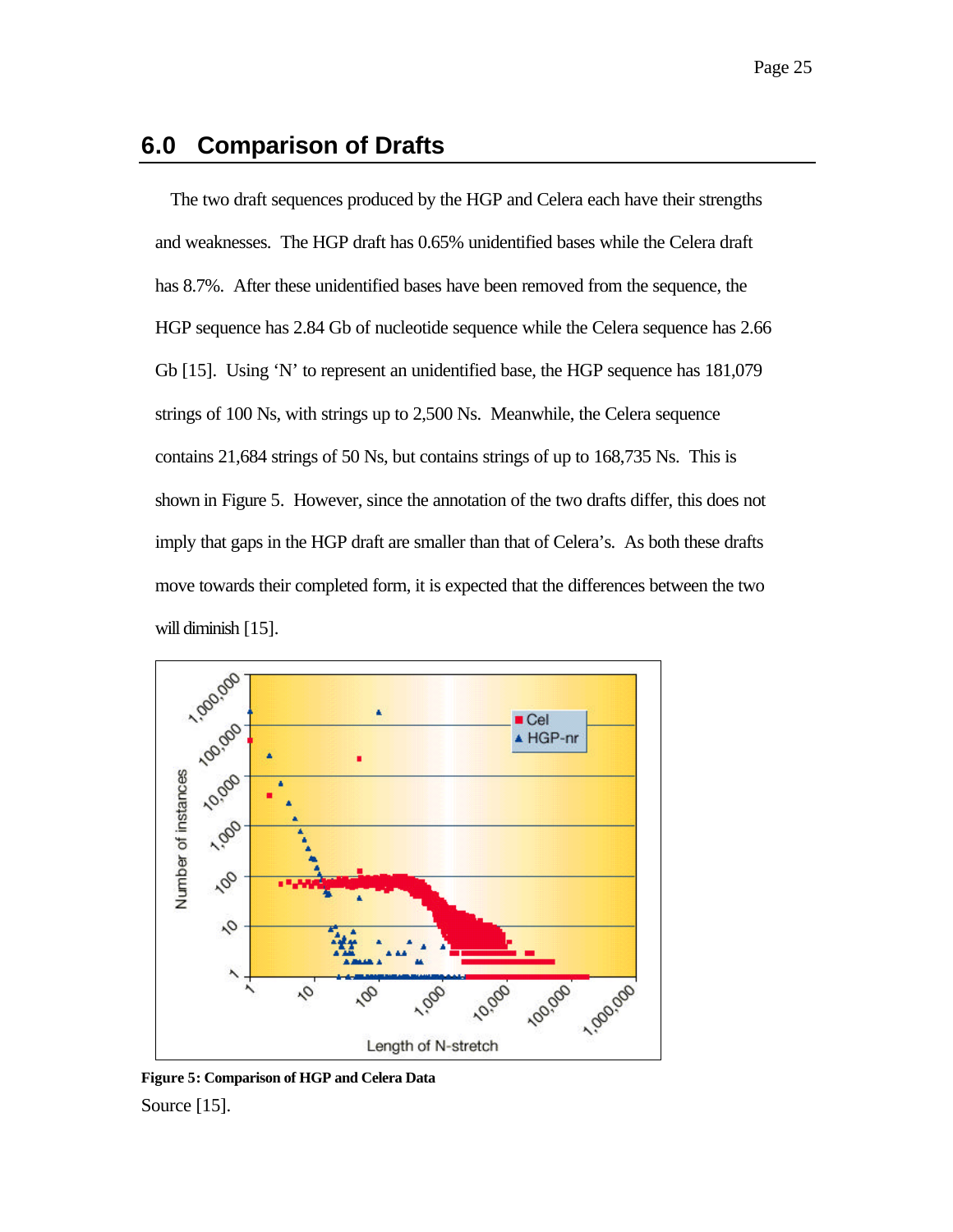# **6.0 Comparison of Drafts**

The two draft sequences produced by the HGP and Celera each have their strengths and weaknesses. The HGP draft has 0.65% unidentified bases while the Celera draft has 8.7%. After these unidentified bases have been removed from the sequence, the HGP sequence has 2.84 Gb of nucleotide sequence while the Celera sequence has 2.66 Gb [15]. Using 'N' to represent an unidentified base, the HGP sequence has 181,079 strings of 100 Ns, with strings up to 2,500 Ns. Meanwhile, the Celera sequence contains 21,684 strings of 50 Ns, but contains strings of up to 168,735 Ns. This is shown in Figure 5. However, since the annotation of the two drafts differ, this does not imply that gaps in the HGP draft are smaller than that of Celera's. As both these drafts move towards their completed form, it is expected that the differences between the two will diminish [15].



**Figure 5: Comparison of HGP and Celera Data** Source [15].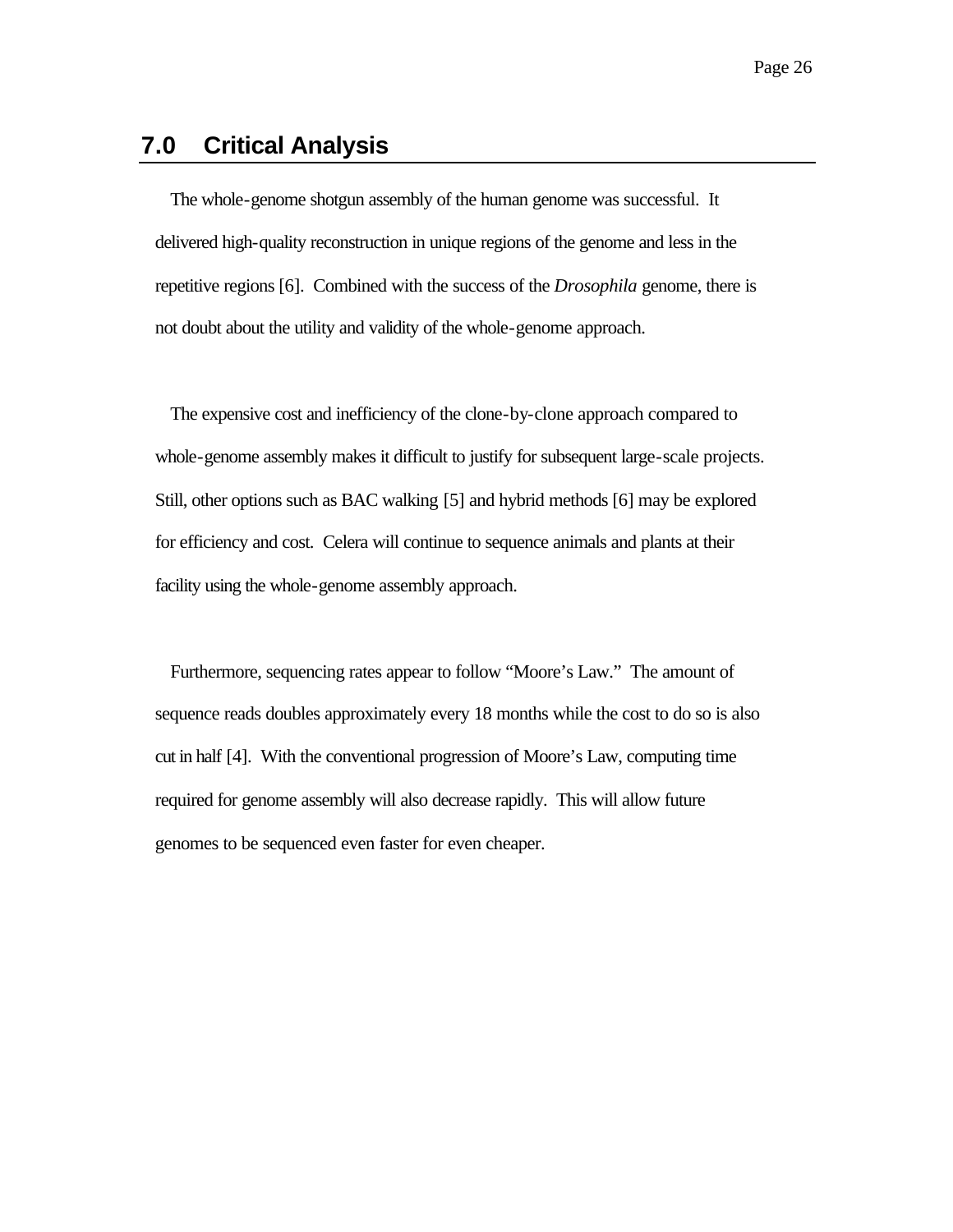# **7.0 Critical Analysis**

The whole-genome shotgun assembly of the human genome was successful. It delivered high-quality reconstruction in unique regions of the genome and less in the repetitive regions [6]. Combined with the success of the *Drosophila* genome, there is not doubt about the utility and validity of the whole-genome approach.

The expensive cost and inefficiency of the clone-by-clone approach compared to whole-genome assembly makes it difficult to justify for subsequent large-scale projects. Still, other options such as BAC walking [5] and hybrid methods [6] may be explored for efficiency and cost. Celera will continue to sequence animals and plants at their facility using the whole-genome assembly approach.

Furthermore, sequencing rates appear to follow "Moore's Law." The amount of sequence reads doubles approximately every 18 months while the cost to do so is also cut in half [4]. With the conventional progression of Moore's Law, computing time required for genome assembly will also decrease rapidly. This will allow future genomes to be sequenced even faster for even cheaper.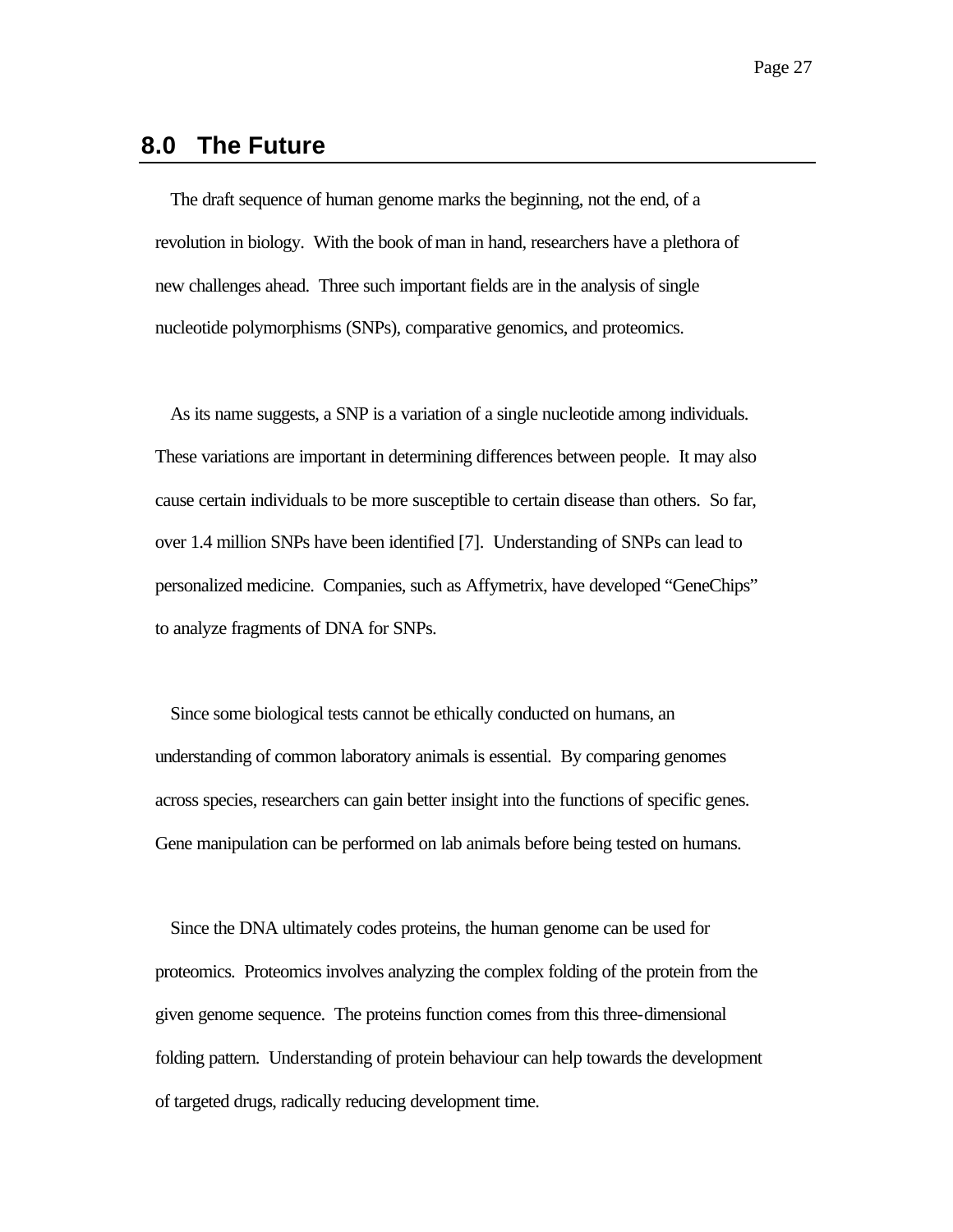#### **8.0 The Future**

The draft sequence of human genome marks the beginning, not the end, of a revolution in biology. With the book of man in hand, researchers have a plethora of new challenges ahead. Three such important fields are in the analysis of single nucleotide polymorphisms (SNPs), comparative genomics, and proteomics.

As its name suggests, a SNP is a variation of a single nucleotide among individuals. These variations are important in determining differences between people. It may also cause certain individuals to be more susceptible to certain disease than others. So far, over 1.4 million SNPs have been identified [7]. Understanding of SNPs can lead to personalized medicine. Companies, such as Affymetrix, have developed "GeneChips" to analyze fragments of DNA for SNPs.

Since some biological tests cannot be ethically conducted on humans, an understanding of common laboratory animals is essential. By comparing genomes across species, researchers can gain better insight into the functions of specific genes. Gene manipulation can be performed on lab animals before being tested on humans.

Since the DNA ultimately codes proteins, the human genome can be used for proteomics. Proteomics involves analyzing the complex folding of the protein from the given genome sequence. The proteins function comes from this three-dimensional folding pattern. Understanding of protein behaviour can help towards the development of targeted drugs, radically reducing development time.